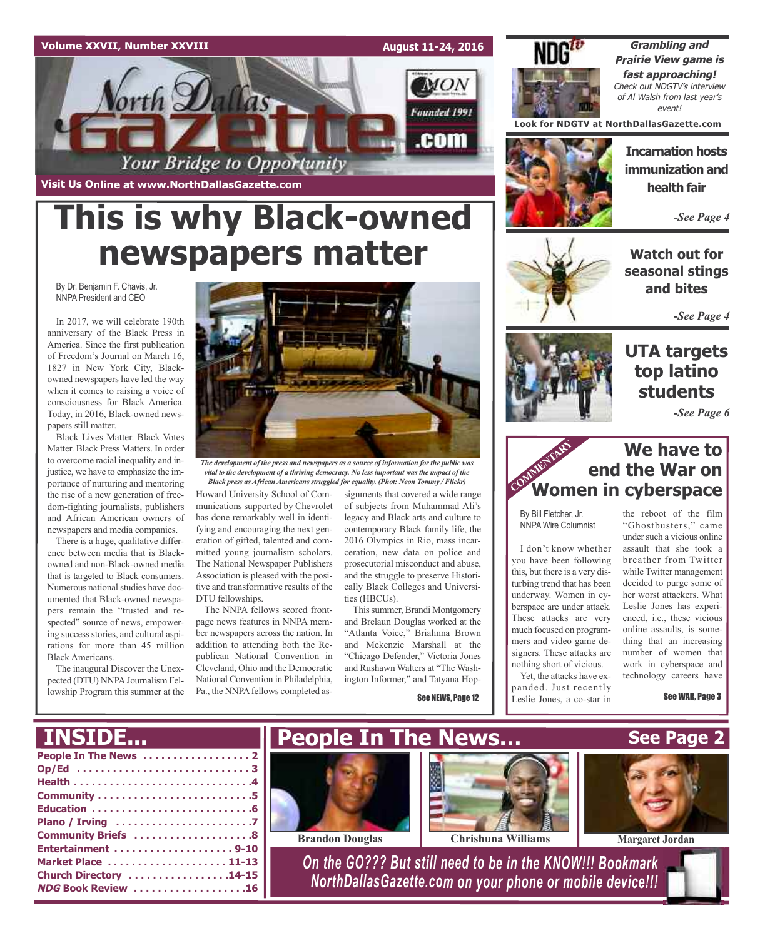#### **Volume XXVII, Number XXVIII**

**August 11-24, 2016**

MON

Founded 1991

.com



**Grambling and Prairie View game is fast approaching!** Check out NDGTV's interview of Al Walsh from last year's event!

**Look for NDGTV at NorthDallasGazette.com**

**Incarnation hosts immunization and health fair**

*-See Page 4*

**Watch out for seasonal stings and bites**

*-See Page 4*

### **UTA targets top latino students**

*-See Page 6*

### **We have to end the War on We have to<br>
<b>COMMERTARY**<br> **COMMENTARY**<br> **COMMERTARY**<br> **COMMERTARY**<br> **COMMERTARY**<br> **COMMERTARY**<br> **COMMERTARY**<br> **COMMERTARY**

By Bill Fletcher, Jr. NNPA Wire Columnist

I don't know whether you have been following this, but there is a very disturbing trend that has been underway. Women in cyberspace are under attack. These attacks are very much focused on programmers and video game designers. These attacks are nothing short of vicious.

Yet, the attacks have expanded. Just recently Leslie Jones, a co-star in



under such a vicious online assault that she took a breather from Twitter while Twitter management decided to purge some of her worst attackers. What Leslie Jones has experienced, i.e., these vicious online assaults, is something that an increasing number of women that work in cyberspace and technology careers have

See WAR, Page 3

orth Dallas

**Visit Us Online at www.NorthDallasGazette.com**

# **This is why Black-owned newspapers matter**

Your Bridge to Opportunity

By Dr. Benjamin F. Chavis, Jr. NNPA President and CEO

In 2017, we will celebrate 190th anniversary of the Black Press in America. Since the first publication of Freedom's Journal on March 16, 1827 in New York City, Blackowned newspapers have led the way when it comes to raising a voice of consciousness for Black America. Today, in 2016, Black-owned newspapers still matter.

Black Lives Matter. Black Votes Matter. Black Press Matters. In order to overcome racial inequality and injustice, we have to emphasize the importance of nurturing and mentoring the rise of a new generation of freedom-fighting journalists, publishers and African American owners of newspapers and media companies.

There is a huge, qualitative difference between media that is Blackowned and non-Black-owned media that is targeted to Black consumers. Numerous national studies have documented that Black-owned newspapers remain the "trusted and respected" source of news, empowering success stories, and cultural aspirations for more than 45 million Black Americans.

The inaugural Discover the Unexpected (DTU) NNPA Journalism Fellowship Program this summer at the



*The development of the press and newspapers as a source of information for the public was vital to the development of a thriving democracy. No less important was the impact of the Black press asAfricanAmericans struggled for equality. (Phot: Neon Tommy / Flickr)*

Howard University School of Communications supported by Chevrolet has done remarkably well in identifying and encouraging the next generation of gifted, talented and committed young journalism scholars. The National Newspaper Publishers Association is pleased with the positive and transformative results of the DTU fellowships.

The NNPA fellows scored frontpage news features in NNPA member newspapers across the nation. In addition to attending both the Republican National Convention in Cleveland, Ohio and the Democratic National Convention in Philadelphia, Pa., the NNPA fellows completed assignments that covered a wide range of subjects from Muhammad Ali's legacy and Black arts and culture to contemporary Black family life, the 2016 Olympics in Rio, mass incarceration, new data on police and prosecutorial misconduct and abuse, and the struggle to preserve Historically Black Colleges and Universities (HBCUs).

Thissummer, Brandi Montgomery and Brelaun Douglas worked at the "Atlanta Voice," Briahnna Brown and Mckenzie Marshall at the "Chicago Defender," Victoria Jones and Rushawn Walters at "The Washington Informer," and Tatyana Hop-

See NEWS, Page 12

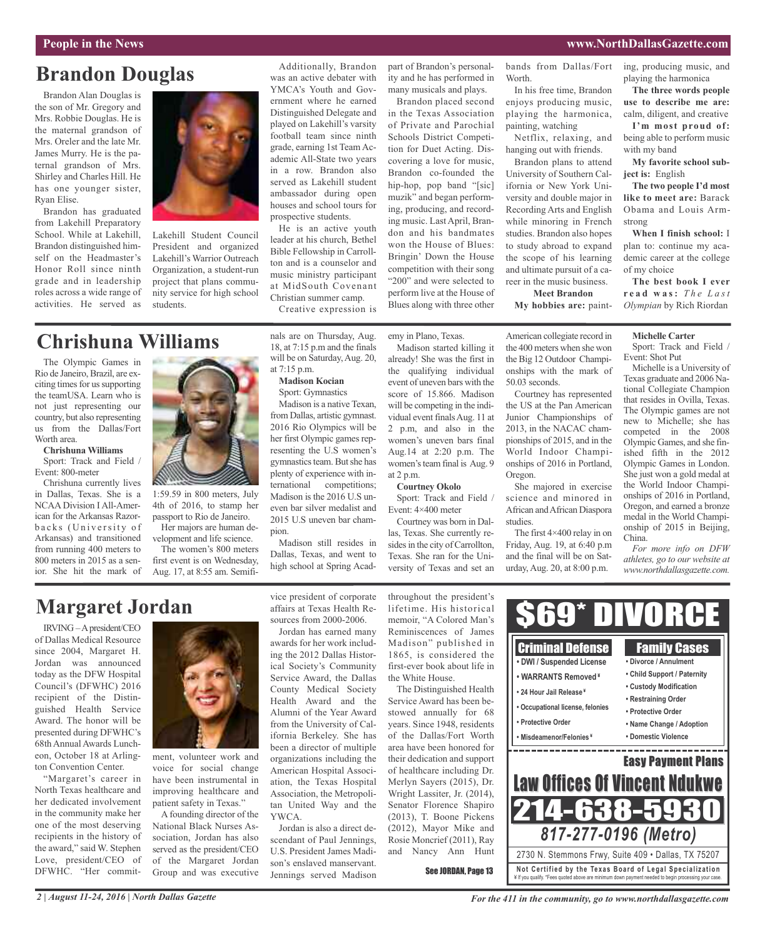with my band

**ject is:** English

strong

of my choice

ing, producing music, and playing the harmonica **The three words people use to describe me are:** calm, diligent, and creative **I'm most proud of:** being able to perform music

**My favorite school sub-**

**The two people I'd most like to meet are:** Barack Obama and Louis Arm-

**When I finish school:** I plan to: continue my academic career at the college

**The best book I ever r e a d w a s:** *T h e L a st Olympian* by Rich Riordan

## **Brandon Douglas**

Brandon Alan Douglas is the son of Mr. Gregory and Mrs. Robbie Douglas. He is the maternal grandson of Mrs. Oreler and the late Mr. James Murry. He is the paternal grandson of Mrs. Shirley and Charles Hill. He has one younger sister, Ryan Elise.

Brandon has graduated from Lakehill Preparatory School. While at Lakehill, Brandon distinguished himself on the Headmaster's Honor Roll since ninth grade and in leadership roles across a wide range of activities. He served as



Lakehill Student Council President and organized Lakehill's Warrior Outreach Organization, a student-run project that plans community service for high school students.

### **Chrishuna Williams**

The Olympic Games in Rio de Janeiro, Brazil, are exciting times for us supporting the teamUSA. Learn who is not just representing our country, but also representing us from the Dallas/Fort Worth area.

#### **Chrishuna Williams**

Sport: Track and Field / Event: 800-meter

Chrishuna currently lives in Dallas, Texas. She is a NCAA Division I All-American for the Arkansas Razorbacks (University of Arkansas) and transitioned from running 400 meters to 800 meters in 2015 as a senior. She hit the mark of



1:59.59 in 800 meters, July 4th of 2016, to stamp her passport to Rio de Janeiro. Her majors are human de-

velopment and life science. The women's 800 meters

first event is on Wednesday, Aug. 17, at 8:55 am. Semifi-

Additionally, Brandon was an active debater with YMCA's Youth and Government where he earned Distinguished Delegate and played on Lakehill's varsity football team since ninth grade, earning 1st TeamAcademic All-State two years in a row. Brandon also served as Lakehill student ambassador during open houses and school tours for prospective students.

He is an active youth leader at his church, Bethel Bible Fellowship in Carrollton and is a counselor and music ministry participant at MidSouth Covenant Christian summer camp.

Creative expression is

at 7:15 p.m.

**Madison Kocian**

part of Brandon's personality and he has performed in many musicals and plays.

Brandon placed second in the Texas Association of Private and Parochial Schools District Competition for Duet Acting. Discovering a love for music, Brandon co-founded the hip-hop, pop band "[sic] muzik" and began performing, producing, and recording music. Last April, Brandon and his bandmates won the House of Blues: Bringin' Down the House competition with their song "200" and were selected to perform live at the House of Blues along with three other

emy in Plano, Texas.

already! She was the first in the qualifying individual event of uneven bars with the score of 15.866. Madison will be competing in the individual event finalsAug. 11 at 2 p.m, and also in the women's uneven bars final Aug.14 at 2:20 p.m. The women's team final is Aug. 9 at 2 p.m.

**Courtney Okolo**

Sport: Track and Field / Event: 4×400 meter Courtney was born in Dal-

las, Texas. She currently resides in the city of Carrollton, Texas. She ran for the University of Texas and set an

bands from Dallas/Fort Worth.

In his free time, Brandon enjoys producing music, playing the harmonica, painting, watching

Netflix, relaxing, and hanging out with friends.

Brandon plans to attend University of Southern California or New York University and double major in Recording Arts and English while minoring in French studies. Brandon also hopes to study abroad to expand the scope of his learning and ultimate pursuit of a career in the music business.

**Meet Brandon My hobbies are:** paint-

American collegiate record in the 400 meters when she won the Big 12 Outdoor Championships with the mark of 50.03 seconds.

Courtney has represented the US at the Pan American Junior Championships of 2013, in the NACAC championships of 2015, and in the World Indoor Championships of 2016 in Portland, Oregon.

She majored in exercise science and minored in African andAfrican Diaspora studies.

The first 4×400 relay in on Friday, Aug. 19, at 6:40 p.m and the final will be on Saturday, Aug. 20, at 8:00 p.m.

**Michelle Carter** Sport: Track and Field / Event: Shot Put

Michelle is a University of Texas graduate and 2006 National Collegiate Champion that resides in Ovilla, Texas. The Olympic games are not new to Michelle; she has competed in the 2008 Olympic Games, and she finished fifth in the 2012 Olympic Games in London. She just won a gold medal at the World Indoor Championships of 2016 in Portland, Oregon, and earned a bronze medal in the World Championship of 2015 in Beijing, China.

*For more info on DFW athletes, go to our website at www.northdallasgazette.com.*

### **Margaret Jordan**

IRVING –Apresident/CEO of Dallas Medical Resource since 2004, Margaret H. Jordan was announced today as the DFW Hospital Council's (DFWHC) 2016 recipient of the Distinguished Health Service Award. The honor will be presented during DFWHC's 68th Annual Awards Luncheon, October 18 at Arlington Convention Center.

"Margaret's career in North Texas healthcare and her dedicated involvement in the community make her one of the most deserving recipients in the history of the award," said W. Stephen Love, president/CEO of DFWHC. "Her commit-



ment, volunteer work and voice for social change have been instrumental in improving healthcare and patient safety in Texas."

A founding director of the National Black Nurses Association, Jordan has also served as the president/CEO of the Margaret Jordan Group and was executive vice president of corporate affairs at Texas Health Resources from 2000-2006.

Jordan has earned many awards for her work including the 2012 Dallas Historical Society's Community Service Award, the Dallas County Medical Society Health Award and the Alumni of the Year Award from the University of California Berkeley. She has been a director of multiple organizations including the American Hospital Association, the Texas Hospital Association, the Metropolitan United Way and the YWCA.

Jordan is also a direct descendant of Paul Jennings, U.S. President James Madison's enslaved manservant. Jennings served Madison

throughout the president's lifetime. His historical memoir, "A Colored Man's Reminiscences of James Madison" published in 1865, is considered the first-ever book about life in the White House.

The Distinguished Health Service Award has been bestowed annually for 68 years. Since 1948, residents of the Dallas/Fort Worth area have been honored for their dedication and support of healthcare including Dr. Merlyn Sayers (2015), Dr. Wright Lassiter, Jr. (2014), Senator Florence Shapiro (2013), T. Boone Pickens (2012), Mayor Mike and Rosie Moncrief (2011), Ray and Nancy Ann Hunt

See JORDAN, Page 13



Sport: Gymnastics Madison is a native Texan, from Dallas, artistic gymnast.

2016 Rio Olympics will be her first Olympic games representing the U.S women's gymnastics team. But she has plenty of experience with international competitions; Madison is the 2016 U.S uneven bar silver medalist and 2015 U.S uneven bar champion.

Madison still resides in Dallas, Texas, and went to high school at Spring Acad-

nals are on Thursday, Aug. 18, at 7:15 p.m and the finals will be on Saturday, Aug. 20, Madison started killing it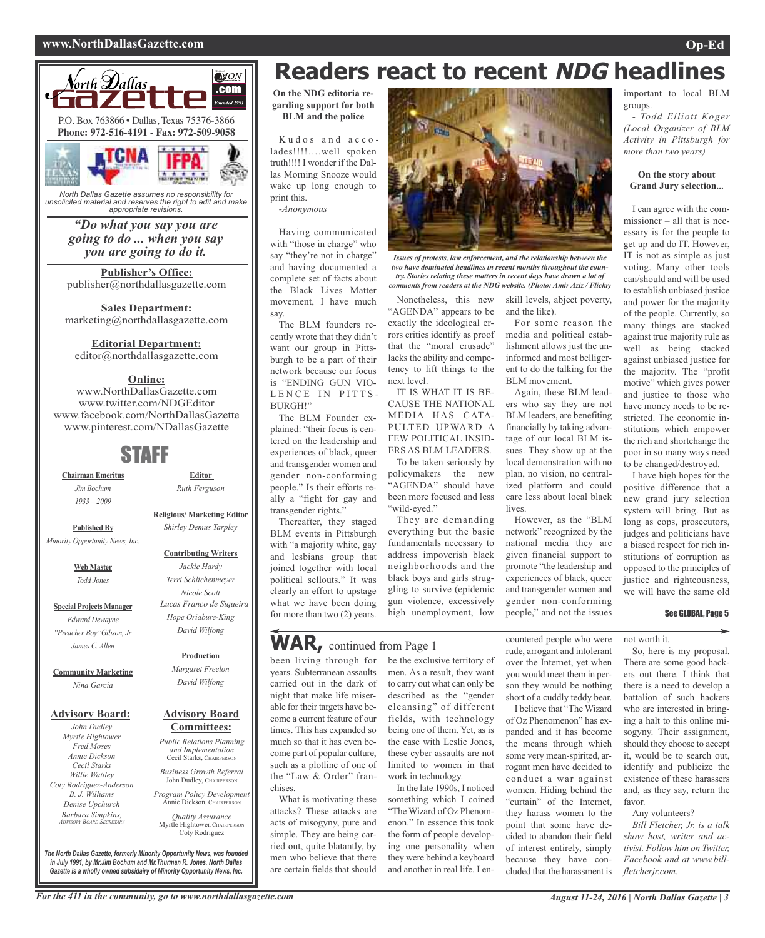#### **www.NorthDallasGazette.com Op-Ed**



*North Dallas Gazette assumes no responsibility for unsolicited material and reserves the right to edit and make appropriate revisions.*

#### *"Do what you say you are going to do ... when you say you are going to do it.*

**Publisher's Office:** publisher@northdallasgazette.com

**Sales Department:** marketing@northdallasgazette.com

#### **Editorial Department:**

editor@northdallasgazette.com

#### **Online:**

www.NorthDallasGazette.com www.twitter.com/NDGEditor www.facebook.com/NorthDallasGazette www.pinterest.com/NDallasGazette

### STAFF

**Chairman Emeritus** *Jim Bochum 1933 – 2009*

> **Religious/ Marketing Editor** *Shirley Demus Tarpley* **Published By**

*Minority Opportunity News, inc.*

**Web Master** *Todd Jones*

**Special Projects Manager** *Edward Dewayne "Preacher Boy"Gibson, Jr. James C. Allen*

#### **Community Marketing** *Nina Garcia*

#### **Advisory Board:**

*John Dudley Myrtle Hightower Fred Moses Annie Dickson Cecil Starks Willie Wattley Coty Rodriguez-Anderson B. J. Williams Denise Upchurch Barbara Simpkins, ADviSORy BOARD SECRETARy*

### **Advisory Board** *David Wilfong*

### **Committees:**

*Public Relations Planning and implementation* Cecil Starks, CHAIRPERSON *Business Growth Referral*

John Dudley, CHAIRPERSON

*Program Policy Development* Annie Dickson, CHAIRPER

*Quality Assurance* Myrtle Hightower, CHAIRPERSON Coty Rodriguez

**Readers react to recent NDG headlines**

*Issues of protests, law enforcement, and the relationship between the two have dominated headlines in recent months throughout the country. Stories relating these matters in recent days have drawn a lot of comments from readers at the NDG website. (Photo: Amir Aziz / Flickr)*

**On the NDG editoria regarding support for both BLM and the police**

Kudos and accolades!!!!….well spoken truth!!!! I wonder if the Dallas Morning Snooze would wake up long enough to print this. *-Anonymous*

Having communicated with "those in charge" who say "they're not in charge" and having documented a complete set of facts about the Black Lives Matter movement, I have much say.

The BLM founders recently wrote that they didn't want our group in Pittsburgh to be a part of their network because our focus is "ENDING GUN VIO-LENCE IN PITTS-BURGH!"

The BLM Founder explained: "their focus is centered on the leadership and experiences of black, queer and transgender women and gender non-conforming people." Is their efforts really a "fight for gay and transgender rights.'

Thereafter, they staged BLM events in Pittsburgh with "a majority white, gay and lesbians group that joined together with local political sellouts." It was clearly an effort to upstage what we have been doing for more than two (2) years.

### **WAR,** continued from Page <sup>1</sup>

been living through for be the exclusive territory of years. Subterranean assaults carried out in the dark of night that make life miserable for their targets have become a current feature of our times. This has expanded so much so that it has even become part of popular culture, such as a plotline of one of the "Law & Order" franchises.

What is motivating these attacks? These attacks are acts of misogyny, pure and simple. They are being carried out, quite blatantly, by men who believe that there are certain fields that should

men. As a result, they want to carry out what can only be described as the "gender cleansing" of different fields, with technology being one of them. Yet, as is the case with Leslie Jones, these cyber assaults are not limited to women in that work in technology.

Nonetheless, this new "AGENDA" appears to be exactly the ideological errors critics identify as proof that the "moral crusade" lacks the ability and competency to lift things to the

IT IS WHAT IT IS BE-CAUSE THE NATIONAL MEDIA HAS CATA-PULTED UPWARD A FEW POLITICAL INSID-ERS AS BLM LEADERS. To be taken seriously by policymakers the new "AGENDA" should have been more focused and less

They are demanding everything but the basic fundamentals necessary to address impoverish black neighborhoods and the black boys and girls struggling to survive (epidemic gun violence, excessively high unemployment, low

next level.

"wild-eyed."

In the late 1990s, I noticed something which I coined "The Wizard of Oz Phenomenon." In essence this took the form of people developing one personality when they were behind a keyboard and another in real life. I enskill levels, abject poverty, and the like).

For some reason the media and political establishment allows just the uninformed and most belligerent to do the talking for the BLM movement.

Again, these BLM leaders who say they are not BLM leaders, are benefiting financially by taking advantage of our local BLM issues. They show up at the local demonstration with no plan, no vision, no centralized platform and could care less about local black lives.

However, as the "BLM network" recognized by the national media they are given financial support to promote "the leadership and experiences of black, queer and transgender women and gender non-conforming people," and not the issues

countered people who were rude, arrogant and intolerant over the Internet, yet when you would meet them in person they would be nothing short of a cuddly teddy bear. I believe that "The Wizard of Oz Phenomenon" has expanded and it has become the means through which some very mean-spirited, arrogant men have decided to conduct a war against women. Hiding behind the "curtain" of the Internet, they harass women to the point that some have decided to abandon their field of interest entirely, simply because they have concluded that the harassment is

important to local BLM groups.

*- Todd Elliott Koger (Local Organizer of BLM Activity in Pittsburgh for more than two years)*

#### **On the story about Grand Jury selection...**

I can agree with the commissioner – all that is necessary is for the people to get up and do IT. However, IT is not as simple as just voting. Many other tools can/should and will be used to establish unbiased justice and power for the majority of the people. Currently, so many things are stacked against true majority rule as well as being stacked against unbiased justice for the majority. The "profit motive" which gives power and justice to those who have money needs to be restricted. The economic institutions which empower the rich and shortchange the poor in so many ways need to be changed/destroyed.

I have high hopes for the positive difference that a new grand jury selection system will bring. But as long as cops, prosecutors, judges and politicians have a biased respect for rich institutions of corruption as opposed to the principles of justice and righteousness, we will have the same old

#### See GLOBAL, Page 5

not worth it.

So, here is my proposal. There are some good hackers out there. I think that there is a need to develop a battalion of such hackers who are interested in bringing a halt to this online misogyny. Their assignment, should they choose to accept it, would be to search out, identify and publicize the existence of these harassers and, as they say, return the favor.

Any volunteers?

*Bill Fletcher, Jr. is a talk show host, writer and activist. Follow him on Twitter, Facebook and at www.billfletcherjr.com.*

*The North Dallas Gazette, formerly Minority Opportunity News, was founded in July 1991, by Mr.Jim Bochum and Mr.Thurman R. Jones. North Dallas Gazette is a wholly owned subsidairy of Minority Opportunity News, Inc.*



**Editor** *Ruth Ferguson*

*Margaret Freelon*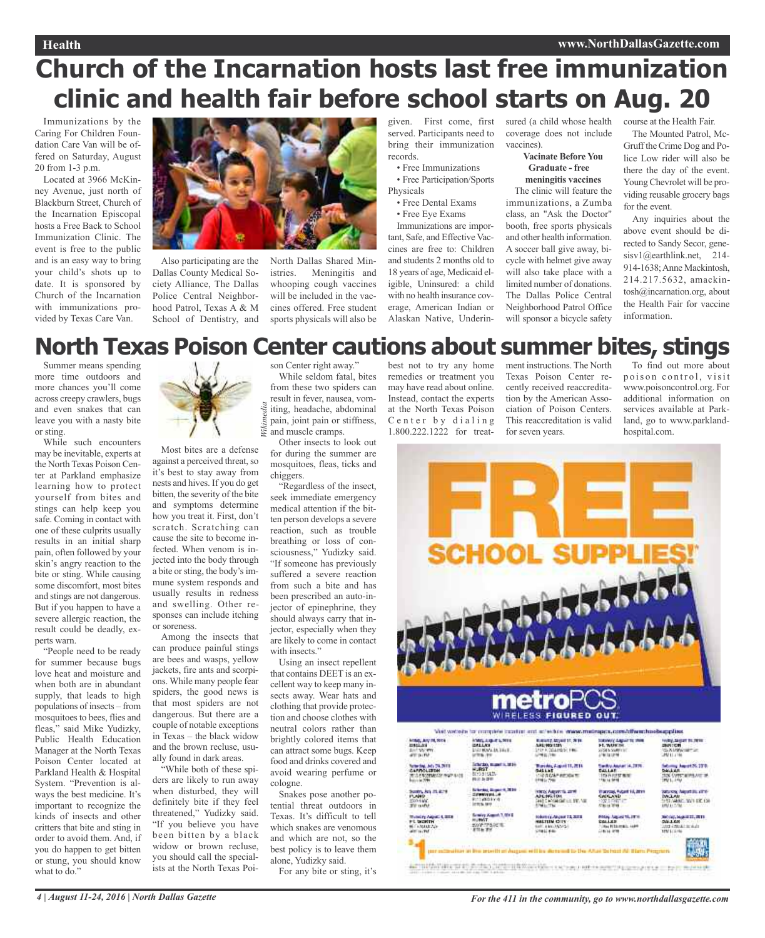#### **Health www.NorthDallasGazette.com**

# **Church of the Incarnation hosts last free immunization clinic and health fair before school starts on Aug. 20**

Immunizations by the Caring For Children Foundation Care Van will be offered on Saturday, August 20 from 1-3 p.m.

Located at 3966 McKinney Avenue, just north of Blackburn Street, Church of the Incarnation Episcopal hosts a Free Back to School Immunization Clinic. The event is free to the public and is an easy way to bring your child's shots up to date. It is sponsored by Church of the Incarnation with immunizations provided by Texas Care Van.



Also participating are the Dallas County Medical Society Alliance, The Dallas Police Central Neighborhood Patrol, Texas A & M School of Dentistry, and North Dallas Shared Ministries. Meningitis and whooping cough vaccines will be included in the vaccines offered. Free student sports physicals will also be served. Participants need to bring their immunization records.

• Free Immunizations

- Free Participation/Sports Physicals
- Free Dental Exams

• Free Eye Exams

Immunizations are important, Safe, and Effective Vaccines are free to: Children and students 2 months old to 18 years of age, Medicaid eligible, Uninsured: a child with no health insurance coverage, American Indian or Alaskan Native, Underin-

given. First come, first sured (a child whose health course at the Health Fair. coverage does not include vaccines).

**Vacinate Before You Graduate - free**

**meningitis vaccines** The clinic will feature the

immunizations, a Zumba class, an "Ask the Doctor" booth, free sports physicals and other health information. A soccer ball give away, bicycle with helmet give away will also take place with a limited number of donations. The Dallas Police Central Neighborhood Patrol Office will sponsor a bicycle safety

The Mounted Patrol, Mc-Gruff the Crime Dog and Police Low rider will also be there the day of the event. Young Chevrolet will be providing reusable grocery bags

for the event. Any inquiries about the above event should be directed to Sandy Secor, genesisv1@earthlink.net, 214- 914-1638;Anne Mackintosh, 214.217.5632, amackintosh@incarnation.org, about the Health Fair for vaccine information.

### best not to try any home **North Texas Poison Center cautions about summer bites, stings**

Summer means spending more time outdoors and more chances you'll come across creepy crawlers, bugs and even snakes that can leave you with a nasty bite or sting.

While such encounters may be inevitable, experts at the North Texas Poison Center at Parkland emphasize learning how to protect yourself from bites and stings can help keep you safe. Coming in contact with one of these culprits usually results in an initial sharp pain, often followed by your skin's angry reaction to the bite or sting. While causing some discomfort, most bites and stings are not dangerous. But if you happen to have a severe allergic reaction, the result could be deadly, experts warn.

"People need to be ready for summer because bugs love heat and moisture and when both are in abundant supply, that leads to high populations of insects – from mosquitoes to bees, flies and fleas," said Mike Yudizky, Public Health Education Manager at the North Texas Poison Center located at Parkland Health & Hospital System. "Prevention is always the best medicine. It's important to recognize the kinds of insects and other critters that bite and sting in order to avoid them. And, if you do happen to get bitten or stung, you should know what to do."



Most bites are a defense against a perceived threat, so it's best to stay away from nests and hives. If you do get bitten, the severity of the bite and symptoms determine how you treat it. First, don't scratch. Scratching can cause the site to become infected. When venom is injected into the body through a bite or sting, the body's immune system responds and usually results in redness and swelling. Other responses can include itching or soreness.

Among the insects that can produce painful stings are bees and wasps, yellow jackets, fire ants and scorpions. While many people fear spiders, the good news is that most spiders are not dangerous. But there are a couple of notable exceptions in Texas – the black widow and the brown recluse, usually found in dark areas.

"While both of these spiders are likely to run away when disturbed, they will definitely bite if they feel threatened," Yudizky said. "If you believe you have been bitten by a black widow or brown recluse, you should call the specialists at the North Texas Poison Center right away."

While seldom fatal, bites from these two spiders can result in fever, nausea, vomdia *Wikimedia* iting, headache, abdominal pain, joint pain or stiffness, Vikime and muscle cramps.

Other insects to look out for during the summer are mosquitoes, fleas, ticks and chiggers.

"Regardless of the insect, seek immediate emergency medical attention if the bitten person develops a severe reaction, such as trouble breathing or loss of consciousness," Yudizky said. "If someone has previously suffered a severe reaction from such a bite and has been prescribed an auto-injector of epinephrine, they should always carry that injector, especially when they are likely to come in contact with insects."

Using an insect repellent that contains DEET is an excellent way to keep many insects away. Wear hats and clothing that provide protection and choose clothes with neutral colors rather than brightly colored items that can attract some bugs. Keep food and drinks covered and avoid wearing perfume or cologne.

Snakes pose another potential threat outdoors in Texas. It's difficult to tell which snakes are venomous and which are not, so the best policy is to leave them alone, Yudizky said.

For any bite or sting, it's

remedies or treatment you may have read about online. Instead, contact the experts at the North Texas Poison Center by dialing 1.800.222.1222 for treatment instructions. The North Texas Poison Center recently received reaccreditation by the American Association of Poison Centers. This reaccreditation is valid for seven years.

To find out more about poison control, visit www.poisoncontrol.org. For additional information on services available at Parkland, go to www.parklandhospital.com.

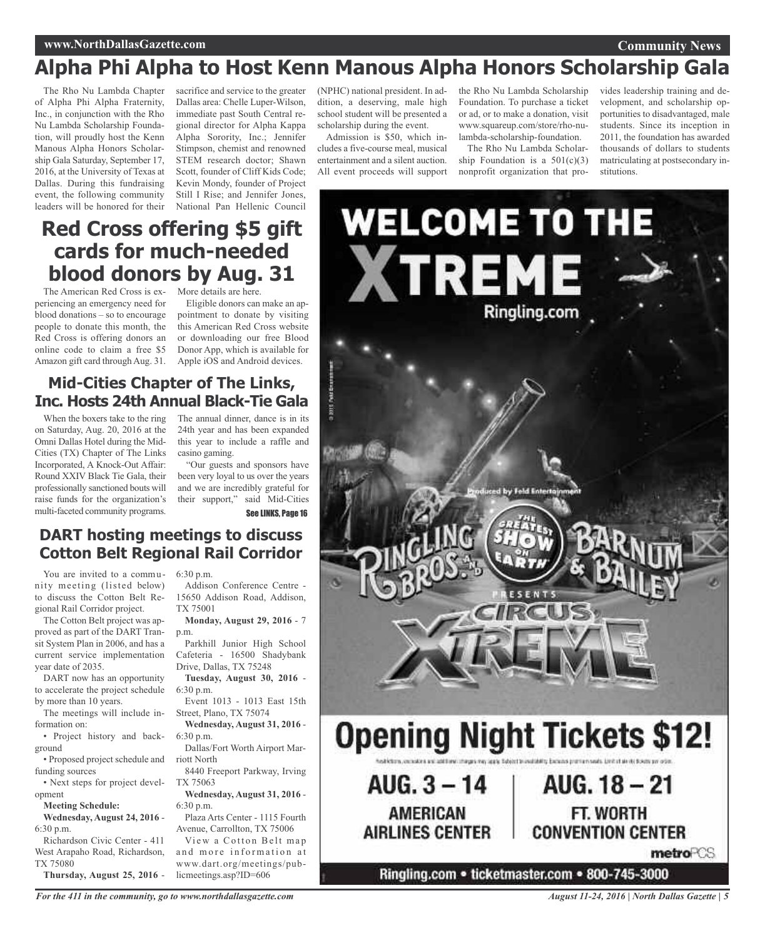#### **www.NorthDallasGazette.com**

#### **Community News**

### **Alpha Phi Alpha to Host Kenn Manous Alpha Honors Scholarship Gala**

The Rho Nu Lambda Chapter of Alpha Phi Alpha Fraternity, Inc., in conjunction with the Rho Nu Lambda Scholarship Foundation, will proudly host the Kenn Manous Alpha Honors Scholarship Gala Saturday, September 17, 2016, at the University of Texas at Dallas. During this fundraising event, the following community leaders will be honored for their

sacrifice and service to the greater Dallas area: Chelle Luper-Wilson, immediate past South Central regional director for Alpha Kappa Alpha Sorority, Inc.; Jennifer Stimpson, chemist and renowned STEM research doctor; Shawn Scott, founder of Cliff Kids Code; Kevin Mondy, founder of Project Still I Rise; and Jennifer Jones, National Pan Hellenic Council

(NPHC) national president. In addition, a deserving, male high school student will be presented a scholarship during the event.

Admission is \$50, which includes a five-course meal, musical entertainment and a silent auction. All event proceeds will support

the Rho Nu Lambda Scholarship Foundation. To purchase a ticket or ad, or to make a donation, visit www.squareup.com/store/rho-nulambda-scholarship-foundation.

The Rho Nu Lambda Scholarship Foundation is a  $501(c)(3)$ nonprofit organization that pro-

vides leadership training and development, and scholarship opportunities to disadvantaged, male students. Since its inception in 2011, the foundation has awarded thousands of dollars to students matriculating at postsecondary institutions.

### **Red Cross offering \$5 gift cards for much-needed blood donors by Aug. 31**

The American Red Cross is ex-More details are here. periencing an emergency need for blood donations – so to encourage people to donate this month, the Red Cross is offering donors an online code to claim a free \$5 Amazon gift card through Aug. 31.

Eligible donors can make an appointment to donate by visiting this American Red Cross website or downloading our free Blood Donor App, which is available for Apple iOS and Android devices.

### **Mid-Cities Chapter of The Links, Inc. Hosts 24th Annual Black-Tie Gala**

on Saturday, Aug. 20, 2016 at the Omni Dallas Hotel during the Mid-Cities (TX) Chapter of The Links Incorporated, A Knock-Out Affair: Round XXIV Black Tie Gala, their professionally sanctioned bouts will raise funds for the organization's multi-faceted community programs.

When the boxers take to the ring The annual dinner, dance is in its 24th year and has been expanded this year to include a raffle and casino gaming.

> "Our guests and sponsors have been very loyal to us over the years and we are incredibly grateful for their support," said Mid-Cities See LINKS, Page 16

### **DART hosting meetings to discuss Cotton Belt Regional Rail Corridor**

You are invited to a community meeting (listed below) to discuss the Cotton Belt Regional Rail Corridor project.

The Cotton Belt project was approved as part of the DART Transit System Plan in 2006, and has a current service implementation year date of 2035.

DART now has an opportunity to accelerate the project schedule by more than 10 years.

The meetings will include information on:

• Project history and background

• Proposed project schedule and funding sources

• Next steps for project development

**Meeting Schedule:**

**Wednesday, August 24, 2016** - 6:30 p.m.

Richardson Civic Center - 411 West Arapaho Road, Richardson, TX 75080

**Thursday, August 25, 2016** -

6:30 p.m.

Addison Conference Centre - 15650 Addison Road, Addison, TX 75001

**Monday, August 29, 2016** - 7 p.m.

Parkhill Junior High School Cafeteria - 16500 Shadybank Drive, Dallas, TX 75248

**Tuesday, August 30, 2016** - 6:30 p.m.

Event 1013 - 1013 East 15th Street, Plano, TX 75074 **Wednesday, August 31, 2016** -

6:30 p.m. Dallas/Fort Worth Airport Mar-

riott North 8440 Freeport Parkway, Irving

TX 75063

**Wednesday, August 31, 2016** - 6:30 p.m.

Plaza Arts Center - 1115 Fourth Avenue, Carrollton, TX 75006

View a Cotton Belt map and more information at www.dart.org/meetings/publicmeetings.asp?ID=606



*For the 411 in the community, go to www.northdallasgazette.com*

*August 11-24, 2016 | North Dallas Gazette | 5*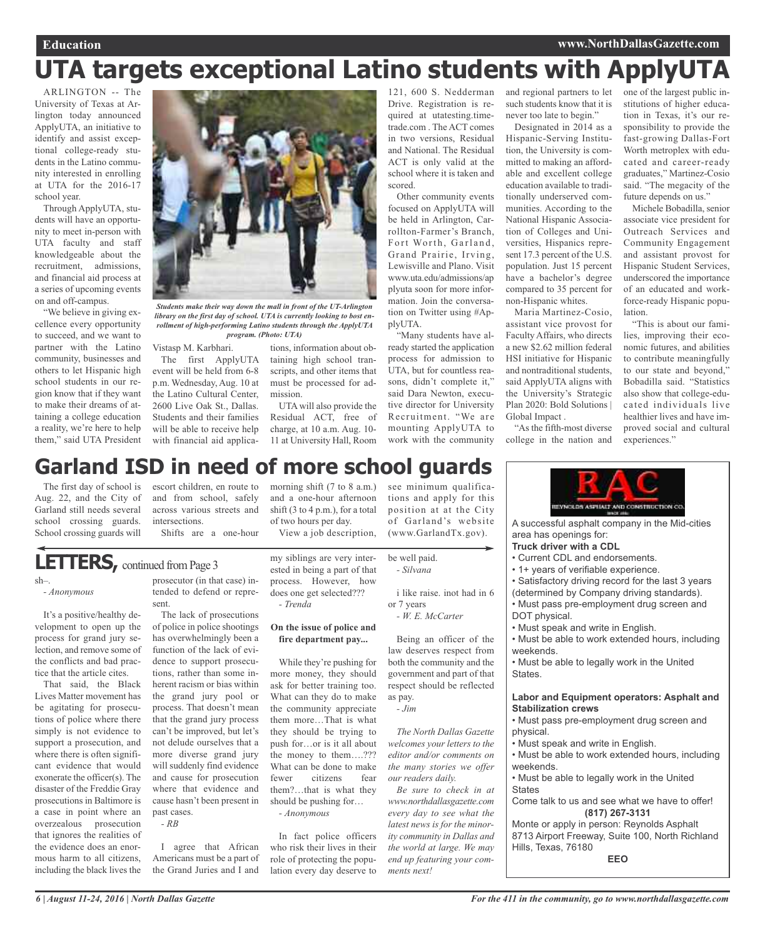#### **Education www.NorthDallasGazette.com**

# **UTA targets exceptional Latino students with ApplyUTA**

ARLINGTON -- The University of Texas at Arlington today announced ApplyUTA, an initiative to identify and assist exceptional college-ready students in the Latino community interested in enrolling at UTA for the 2016-17 school year.

Through ApplyUTA, students will have an opportunity to meet in-person with UTA faculty and staff knowledgeable about the recruitment, admissions, and financial aid process at a series of upcoming events on and off-campus.

"We believe in giving excellence every opportunity to succeed, and we want to partner with the Latino community, businesses and others to let Hispanic high school students in our region know that if they want to make their dreams of attaining a college education a reality, we're here to help them," said UTA President



*Students make their way down the mall in front of the UT-Arlington library on the first day of school. UTA is currently looking to bost enrollment of high-performing Latino students through the ApplyUTA program. (Photo: UTA)*

Vistasp M. Karbhari.

The first ApplyUTA event will be held from 6-8 p.m. Wednesday, Aug. 10 at the Latino Cultural Center, 2600 Live Oak St., Dallas. Students and their families will be able to receive help with financial aid applica-

tions, information about obtaining high school transcripts, and other items that must be processed for admission.

UTA will also provide the Residual ACT, free of charge, at 10 a.m. Aug. 10- 11 at University Hall, Room

morning shift (7 to 8 a.m.) and a one-hour afternoon shift (3 to 4 p.m.), for a total of two hours per day.

View a job description,

Drive. Registration is required at utatesting.timetrade.com . The ACT comes in two versions, Residual and National. The Residual ACT is only valid at the school where it is taken and scored.

Other community events focused on ApplyUTA will be held in Arlington, Carrollton-Farmer's Branch, Fort Worth, Garland, Grand Prairie, Irving, Lewisville and Plano. Visit www.uta.edu/admissions/ap plyuta soon for more information. Join the conversation on Twitter using #ApplyUTA.

"Many students have already started the application process for admission to UTA, but for countless reasons, didn't complete it," said Dara Newton, executive director for University Recruitment. "We are mounting ApplyUTA to work with the community

121, 600 S. Nedderman and regional partners to let one of the largest public insuch students know that it is never too late to begin."

> Designated in 2014 as a Hispanic-Serving Institution, the University is committed to making an affordable and excellent college education available to traditionally underserved communities. According to the National Hispanic Association of Colleges and Universities, Hispanics represent 17.3 percent of the U.S. population. Just 15 percent have a bachelor's degree compared to 35 percent for non-Hispanic whites.

> Maria Martinez-Cosio, assistant vice provost for Faculty Affairs, who directs a new \$2.62 million federal HSI initiative for Hispanic and nontraditional students, said ApplyUTA aligns with the University's Strategic Plan 2020: Bold Solutions | Global Impact .

> "As the fifth-most diverse college in the nation and

stitutions of higher education in Texas, it's our responsibility to provide the fast-growing Dallas-Fort Worth metroplex with educated and career-ready graduates," Martinez-Cosio said. "The megacity of the future depends on us."

Michele Bobadilla, senior associate vice president for Outreach Services and Community Engagement and assistant provost for Hispanic Student Services, underscored the importance of an educated and workforce-ready Hispanic population.

"This is about our families, improving their economic futures, and abilities to contribute meaningfully to our state and beyond," Bobadilla said. "Statistics also show that college-educated individuals live healthier lives and have improved social and cultural experiences."

### **Garland ISD in need of more school guards**

The first day of school is Aug. 22, and the City of Garland still needs several school crossing guards. School crossing guards will

escort children, en route to and from school, safely across various streets and intersections.

Shifts are a one-hour

LETTERS, continued from Page 3

sh–. *- Anonymous*

It's a positive/healthy de-

velopment to open up the process for grand jury selection, and remove some of the conflicts and bad practice that the article cites.

That said, the Black Lives Matter movement has be agitating for prosecutions of police where there simply is not evidence to support a prosecution, and where there is often significant evidence that would exonerate the officer(s). The disaster of the Freddie Gray prosecutions in Baltimore is a case in point where an overzealous prosecution that ignores the realities of the evidence does an enormous harm to all citizens, including the black lives the

prosecutor (in that case) intended to defend or represent.

The lack of prosecutions of police in police shootings has overwhelmingly been a function of the lack of evidence to support prosecutions, rather than some inherent racism or bias within the grand jury pool or process. That doesn't mean that the grand jury process can't be improved, but let's not delude ourselves that a more diverse grand jury will suddenly find evidence and cause for prosecution where that evidence and cause hasn't been present in past cases. *- RB*

I agree that African Americans must be a part of the Grand Juries and I and

my siblings are very interested in being a part of that process. However, how does one get selected???

*- Trenda*

#### **On the issue of police and fire department pay...**

While they're pushing for more money, they should ask for better training too. What can they do to make the community appreciate them more…That is what they should be trying to push for…or is it all about the money to them….??? What can be done to make fewer citizens fear them?…that is what they should be pushing for…

*- Anonymous*

In fact police officers who risk their lives in their role of protecting the population every day deserve to

see minimum qualifications and apply for this position at at the City of Garland's website (www.GarlandTx.gov).

be well paid. *- Silvana*

i like raise. inot had in 6 or 7 years

*- W. E. McCarter*

Being an officer of the law deserves respect from both the community and the government and part of that respect should be reflected as pay.

*- Jim*

*The North Dallas Gazette welcomes your letters to the editor and/or comments on the many stories we offer our readers daily.*

*Be sure to check in at www.northdallasgazette.com every day to see what the latest news is for the minority community in Dallas and the world at large. We may end up featuring your comments next!*

**INNOLDS ASPITALE AND CONSTRUCTION CO.** 

A successful asphalt company in the Mid-cities area has openings for:

#### **Truck driver with a CDL**

- Current CDL and endorsements.
- 1+ years of verifiable experience.
- Satisfactory driving record for the last 3 years
- (determined by Company driving standards).
- Must pass pre-employment drug screen and DOT physical.
- Must speak and write in English.
- Must be able to work extended hours, including weekends.

• Must be able to legally work in the United States.

#### **Labor and Equipment operators: Asphalt and Stabilization crews**

• Must pass pre-employment drug screen and physical.

• Must speak and write in English.

• Must be able to work extended hours, including weekends.

• Must be able to legally work in the United **States** 

Come talk to us and see what we have to offer! **(817) 267-3131**

Monte or apply in person: Reynolds Asphalt 8713 Airport Freeway, Suite 100, North Richland Hills, Texas, 76180

**EEO**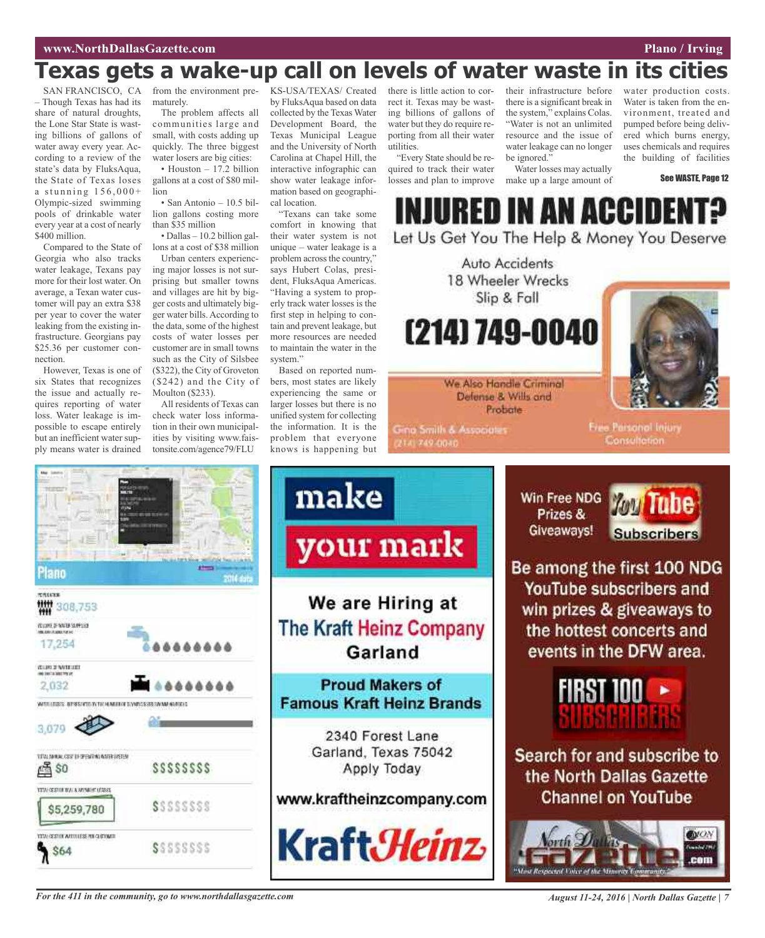## **Texas gets a wake-up call on levels of water waste in its cities**

SAN FRANCISCO, CA – Though Texas has had its share of natural droughts, the Lone Star State is wasting billions of gallons of water away every year. According to a review of the state's data by FluksAqua, the State of Texas loses a stunning  $156,000+$ Olympic-sized swimming pools of drinkable water every year at a cost of nearly \$400 million.

Compared to the State of Georgia who also tracks water leakage, Texans pay more for their lost water. On average, a Texan water customer will pay an extra \$38 per year to cover the water leaking from the existing infrastructure. Georgians pay \$25.36 per customer connection.

However, Texas is one of six States that recognizes the issue and actually requires reporting of water loss. Water leakage is impossible to escape entirely but an inefficient water supply means water is drained maturely.

The problem affects all communities large and small, with costs adding up quickly. The three biggest water losers are big cities: • Houston – 17.2 billion

gallons at a cost of \$80 million

• San Antonio – 10.5 billion gallons costing more than \$35 million

• Dallas – 10.2 billion gallons at a cost of \$38 million

Urban centers experiencing major losses is not surprising but smaller towns and villages are hit by bigger costs and ultimately bigger water bills.According to the data, some of the highest costs of water losses per customer are in small towns such as the City of Silsbee (\$322), the City of Groveton (\$242) and the City of Moulton (\$233).

All residents of Texas can check water loss information in their own municipalities by visiting www.faistonsite.com/agence79/FLU

from the environment pre-KS-USA/TEXAS/ Created by FluksAqua based on data collected by the Texas Water Development Board, the Texas Municipal League and the University of North Carolina at Chapel Hill, the interactive infographic can show water leakage information based on geographical location.

> "Texans can take some comfort in knowing that their water system is not unique – water leakage is a problem across the country," says Hubert Colas, president, FluksAqua Americas. "Having a system to properly track water losses is the first step in helping to contain and prevent leakage, but more resources are needed to maintain the water in the system."

> Based on reported numbers, most states are likely experiencing the same or larger losses but there is no unified system for collecting the information. It is the problem that everyone knows is happening but

there is little action to correct it. Texas may be wasting billions of gallons of water but they do require reporting from all their water utilities.

"Every State should be required to track their water losses and plan to improve

their infrastructure before there is a significant break in the system," explains Colas. "Water is not an unlimited resource and the issue of water leakage can no longer be ignored."

Water losses may actually make up a large amount of

water production costs. Water is taken from the environment, treated and pumped before being delivered which burns energy, uses chemicals and requires the building of facilities

See WASTE, Page 12

URED IN AN ACCIDI Let Us Get You The Help & Money You Deserve

Auto Accidents 18 Wheeler Wrecks Slip & Fall (214) 749-0040



We Also Handle Criminal Defense & Wills and Probate

**Gina Smith & Associates** 2141749-0040

Free Parsonol Injury Consultation



For the 411 in the community, go to www.northdallasgazette.com August 11-24, 2016 | North Dallas Gazette | 7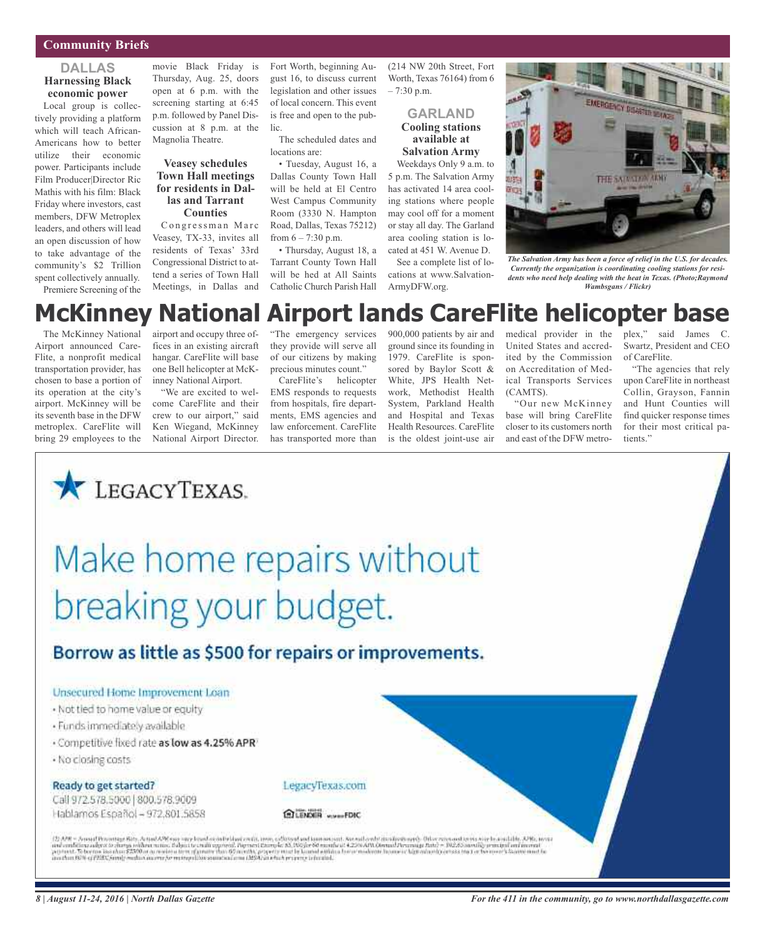#### **Community Briefs**

#### **DALLAS Harnessing Black economic power**

Local group is collectively providing a platform which will teach African-Americans how to better utilize their economic power. Participants include Film Producer|Director Ric Mathis with his film: Black Friday where investors, cast members, DFW Metroplex leaders, and others will lead an open discussion of how to take advantage of the community's \$2 Trillion spent collectively annually. Premiere Screening of the

movie Black Friday is Thursday, Aug. 25, doors open at 6 p.m. with the screening starting at 6:45 p.m. followed by Panel Discussion at 8 p.m. at the Magnolia Theatre.

#### **Veasey schedules Town Hall meetings for residents in Dallas and Tarrant Counties**

Congressman Marc Veasey, TX-33, invites all residents of Texas' 33rd Congressional District to attend a series of Town Hall Meetings, in Dallas and

Fort Worth, beginning August 16, to discuss current legislation and other issues of local concern. This event is free and open to the public.

The scheduled dates and locations are:

• Tuesday, August 16, a Dallas County Town Hall will be held at El Centro West Campus Community Room (3330 N. Hampton Road, Dallas, Texas 75212) from  $6 - 7:30$  p.m.

• Thursday, August 18, a Tarrant County Town Hall will be hed at All Saints Catholic Church Parish Hall

(214 NW 20th Street, Fort Worth, Texas 76164) from 6  $-7:30$  p.m.

> **GARLAND Cooling stations available at Salvation Army**

Weekdays Only 9 a.m. to 5 p.m. The Salvation Army has activated 14 area cooling stations where people may cool off for a moment or stay all day. The Garland area cooling station is located at 451 W. Avenue D.

See a complete list of locations at www.Salvation-ArmyDFW.org.



*The Salvation Army has been a force of relief in the U.S. for decades. Currently the organization is coordinating cooling stations for residents who need help dealing with the heat in Texas. (Photo;Raymond Wambsgans / Flickr)*

## **McKinney National Airport lands CareFlite helicopter base**

The McKinney National Airport announced Care-Flite, a nonprofit medical transportation provider, has chosen to base a portion of its operation at the city's airport. McKinney will be its seventh base in the DFW metroplex. CareFlite will bring 29 employees to the

airport and occupy three offices in an existing aircraft hangar. CareFlite will base one Bell helicopter at McKinney National Airport.

"We are excited to welcome CareFlite and their crew to our airport," said Ken Wiegand, McKinney National Airport Director. "The emergency services they provide will serve all of our citizens by making precious minutes count."

CareFlite's helicopter EMS responds to requests from hospitals, fire departments, EMS agencies and law enforcement. CareFlite has transported more than 900,000 patients by air and ground since its founding in 1979. CareFlite is sponsored by Baylor Scott & White, JPS Health Network, Methodist Health System, Parkland Health and Hospital and Texas Health Resources. CareFlite is the oldest joint-use air

medical provider in the United States and accredited by the Commission on Accreditation of Medical Transports Services (CAMTS).

"Our new McKinney base will bring CareFlite closer to its customers north and east of the DFW metroplex," said James C. Swartz, President and CEO of CareFlite.

"The agencies that rely upon CareFlite in northeast Collin, Grayson, Fannin and Hunt Counties will find quicker response times for their most critical patients."

# Make home repairs without breaking your budget.

### Borrow as little as \$500 for repairs or improvements.

#### Unsecured Home Improvement Loan

LEGACYTEXAS.

- . Not tied to home value or equity
- · Funds immediately available
- · Competitive fixed rate as low as 4.25% APR
- · No closing costs

#### Ready to get started?

Call 972.578.5000 800.578.9009 Hablamos Español - 972.801.5858



**GLENOER** www.FDIC

(2) ARC = Avenal Recentage Rite, Astod APE sup-term bend as delicities can be advantaged to make the about disclosion and a the constants wire beautility. APE, terms in the constant of the constant of the constant of the c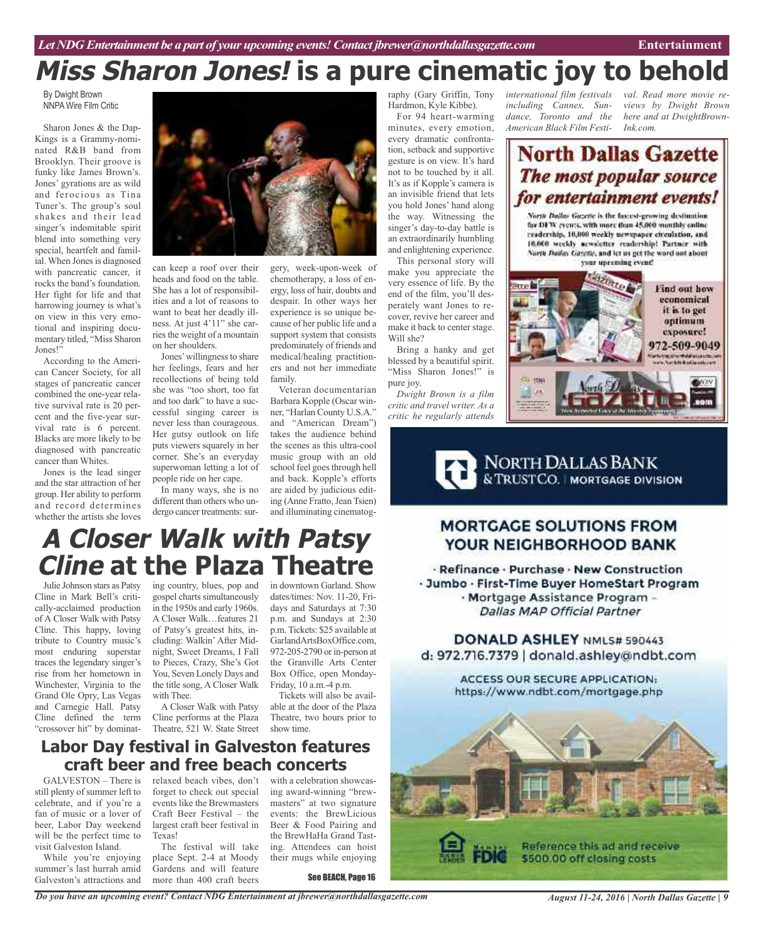# **Miss Sharon Jones! is a pure cinematic joy to behold**

By Dwight Brown NNPA Wire Film Critic

Sharon Jones & the Dap-Kings is a Grammy-nominated R&B band from Brooklyn. Their groove is funky like James Brown's. Jones' gyrations are as wild and ferocious as Tina Tuner's. The group's soul shakes and their lead singer's indomitable spirit blend into something very special, heartfelt and familial. When Jones is diagnosed with pancreatic cancer, it rocks the band's foundation. Her fight for life and that harrowing journey is what's on view in this very emotional and inspiring documentary titled, "Miss Sharon Jones!"

According to the American Cancer Society, for all stages of pancreatic cancer combined the one-year relative survival rate is 20 percent and the five-year survival rate is 6 percent. Blacks are more likely to be diagnosed with pancreatic cancer than Whites.

Jones is the lead singer and the star attraction of her group. Her ability to perform and record determines whether the artists she loves



can keep a roof over their heads and food on the table. She has a lot of responsibilities and a lot of reasons to want to beat her deadly illness. At just 4'11" she carries the weight of a mountain on her shoulders.

Jones' willingness to share her feelings, fears and her recollections of being told she was "too short, too fat and too dark" to have a successful singing career is never less than courageous. Her gutsy outlook on life puts viewers squarely in her corner. She's an everyday superwoman letting a lot of people ride on her cape.

In many ways, she is no different than others who undergo cancer treatments: sur-

gery, week-upon-week of chemotherapy, a loss of energy, loss of hair, doubts and despair. In other ways her experience is so unique because of her public life and a support system that consists predominately of friends and medical/healing practitioners and not her immediate family.

Veteran documentarian Barbara Kopple (Oscar winner, "Harlan County U.S.A." and "American Dream") takes the audience behind the scenes as this ultra-cool music group with an old school feel goes through hell and back. Kopple's efforts are aided by judicious editing (Anne Fratto, Jean Tsien) and illuminating cinematog-

raphy (Gary Griffin, Tony Hardmon, Kyle Kibbe).

For 94 heart-warming minutes, every emotion, every dramatic confrontation, setback and supportive gesture is on view. It's hard not to be touched by it all. It's as if Kopple's camera is an invisible friend that lets you hold Jones' hand along the way. Witnessing the singer's day-to-day battle is an extraordinarily humbling and enlightening experience. This personal story will

make you appreciate the very essence of life. By the end of the film, you'll desperately want Jones to recover, revive her career and make it back to center stage. Will she?

Bring a hanky and get blessed by a beautiful spirit. "Miss Sharon Jones!" is pure joy.

*Dwight Brown is a film critic and travel writer. As a critic he regularly attends*

*international film festivals including Cannes, Sundance, Toronto and the American Black Film Festi-*

*val. Read more movie reviews by Dwight Brown here and at DwightBrownink.com.*

### **North Dallas Gazette** The most popular source for entertainment events!

North Dallas Gazette is the fastest-growing destimation for DFW events, with more than 45,000 monthly enline readership, 10,000 weekly newspaper circulation, and 10,000 weekly acweletter readership! Partner with North Bailas Gazette, and let us get the word out about your upcoming event!



NORTH DALLAS BANK

### **MORTGAGE SOLUTIONS FROM** YOUR NEIGHBORHOOD BANK

· Refinance · Purchase · New Construction · Jumbo · First-Time Buyer HomeStart Program - Mortgage Assistance Program -Dallas MAP Official Partner

### DONALD ASHLEY NML5# 590443 d: 972.716.7379 | donald.ashley@ndbt.com

**ACCESS OUR SECURE APPLICATION:** https://www.ndbt.com/mortgage.php



### in downtown Garland. Show **A Closer Walk with Patsy Cline at the Plaza Theatre**

Julie Johnson stars as Patsy Cline in Mark Bell's critically-acclaimed production of A Closer Walk with Patsy Cline. This happy, loving tribute to Country music's most enduring superstar traces the legendary singer's rise from her hometown in Winchester, Virginia to the Grand Ole Opry, Las Vegas and Carnegie Hall. Patsy Cline defined the term "crossover hit" by dominating country, blues, pop and gospel charts simultaneously in the 1950s and early 1960s. A Closer Walk…features 21 of Patsy's greatest hits, including: Walkin' After Midnight, Sweet Dreams, I Fall to Pieces, Crazy, She's Got You, Seven Lonely Days and the title song, A Closer Walk with Thee.

A Closer Walk with Patsy Cline performs at the Plaza Theatre, 521 W. State Street

p.m. and Sundays at 2:30 p.m.Tickets: \$25 available at GarlandArtsBoxOffice.com, 972-205-2790 or in-person at the Granville Arts Center Box Office, open Monday-Friday, 10 a.m.-4 p.m. Tickets will also be avail-

dates/times: Nov. 11-20, Fridays and Saturdays at 7:30

able at the door of the Plaza Theatre, two hours prior to show time.

### **Labor Day festival in Galveston features craft beer and free beach concerts**

GALVESTON – There is still plenty of summer left to celebrate, and if you're a fan of music or a lover of beer, Labor Day weekend will be the perfect time to visit Galveston Island.

While you're enjoying summer's last hurrah amid Galveston's attractions and

relaxed beach vibes, don't forget to check out special events like the Brewmasters Craft Beer Festival – the largest craft beer festival in Texas!

The festival will take place Sept. 2-4 at Moody Gardens and will feature more than 400 craft beers

*Do you have an upcoming event? Contact NDG Entertainment at jbrewer@northdallasgazette.com*

with a celebration showcasing award-winning "brewmasters" at two signature events: the BrewLicious Beer & Food Pairing and the BrewHaHa Grand Tasting. Attendees can hoist their mugs while enjoying

See BEACH, Page 16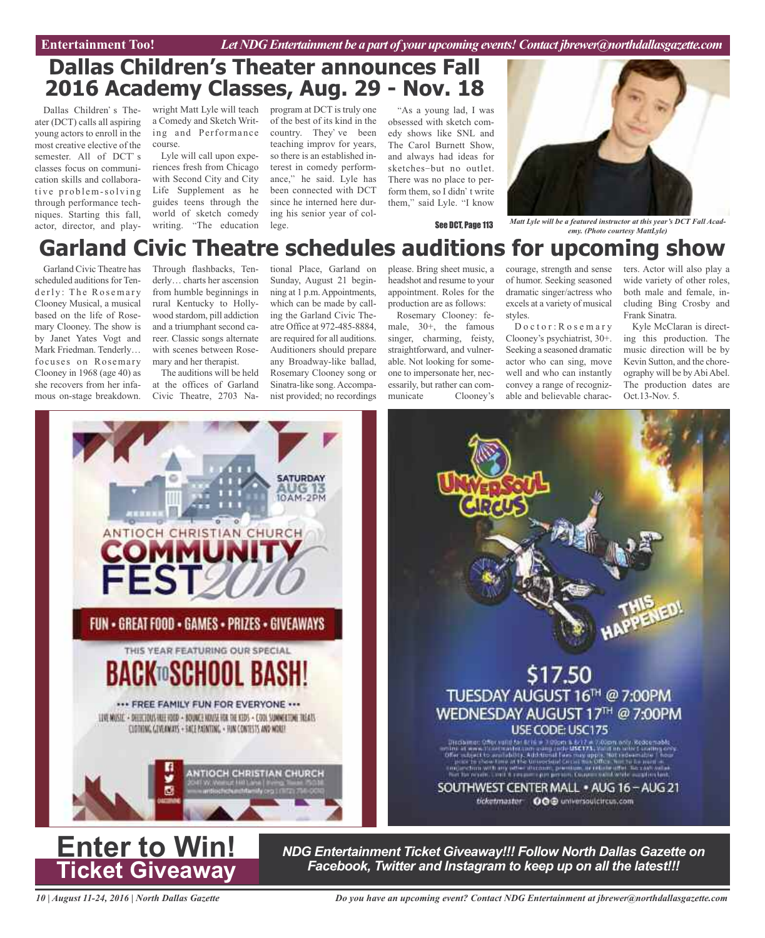Entertainment Too! *Let NDG Entertainment be a part of your upcoming events! Contact jbrewer@northdallasgazette.com* 

### **Dallas Children's Theater announces Fall 2016 Academy Classes, Aug. 29 - Nov. 18**

Dallas Children's Theater (DCT) calls all aspiring young actors to enroll in the most creative elective of the semester. All of DCT's classes focus on communication skills and collaborative problem-solving through performance techniques. Starting this fall, actor, director, and play-

wright Matt Lyle will teach program at DCT is truly one a Comedy and Sketch Writing and Performance course.

Lyle will call upon experiences fresh from Chicago with Second City and City Life Supplement as he guides teens through the world of sketch comedy writing. "The education

of the best of its kind in the country. They've been teaching improv for years, so there is an established interest in comedy performance," he said. Lyle has been connected with DCT since he interned here during his senior year of college.

As a young lad, I was obsessed with sketch comedy shows like SNL and The Carol Burnett Show, and always had ideas for sketches-but no outlet. There was no place to perform them, so I didn't write them," said Lyle. "I know



See DCT, Page 113

*Matt Lyle will be a featured instructor at this year's DCT Fall Academy. (Photo courtesy MattLyle)*

### **Garland Civic Theatre schedules auditions for upcoming show** Garland Civic Theatre has

scheduled auditions for Tenderly: The Rosemary Clooney Musical, a musical based on the life of Rosemary Clooney. The show is by Janet Yates Vogt and Mark Friedman. Tenderly… focuses on Rosemary Clooney in 1968 (age 40) as she recovers from her infamous on-stage breakdown.

Through flashbacks, Tenderly… charts her ascension from humble beginnings in rural Kentucky to Hollywood stardom, pill addiction and a triumphant second career. Classic songs alternate with scenes between Rosemary and her therapist.

The auditions will be held at the offices of Garland Civic Theatre, 2703 Na-

tional Place, Garland on Sunday, August 21 beginning at 1 p.m.Appointments, which can be made by calling the Garland Civic Theatre Office at 972-485-8884, are required for all auditions. Auditioners should prepare any Broadway-like ballad, Rosemary Clooney song or Sinatra-like song.Accompanist provided; no recordings

please. Bring sheet music, a headshot and resume to your appointment. Roles for the production are as follows:

Rosemary Clooney: female, 30+, the famous singer, charming, feisty, straightforward, and vulnerable. Not looking for someone to impersonate her, necessarily, but rather can communicate Clooney's

courage, strength and sense of humor. Seeking seasoned dramatic singer/actress who excels at a variety of musical styles.

Doctor: Rosemary Clooney's psychiatrist, 30+. Seeking a seasoned dramatic actor who can sing, move well and who can instantly convey a range of recognizable and believable charac-

ters. Actor will also play a wide variety of other roles, both male and female, including Bing Crosby and Frank Sinatra.

Kyle McClaran is directing this production. The music direction will be by Kevin Sutton, and the choreography will be byAbiAbel. The production dates are Oct.13-Nov. 5.





*NDG Entertainment Ticket Giveaway!!! Follow North Dallas Gazette on Facebook, Twitter and Instagram to keep up on all the latest!!!*

*10 | August 11-24, 2016 | North Dallas Gazette*

**Ticket Giveaway**

*Do you have an upcoming event? Contact NDG Entertainment at jbrewer@northdallasgazette.com*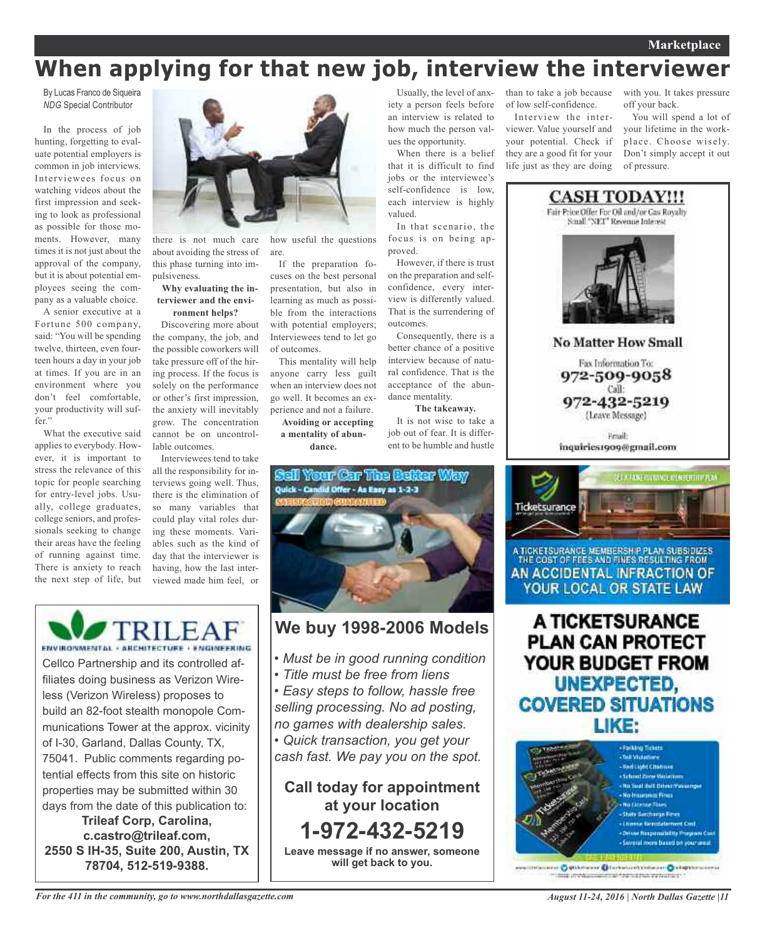## **When applying for that new job, interview the interviewer**

By Lucas Franco de Siqueira *NDG* Special Contributor

In the process of job hunting, forgetting to evaluate potential employers is common in job interviews. Interviewees focus on watching videos about the first impression and seeking to look as professional as possible for those moments. However, many times it is not just about the approval of the company, but it is about potential employees seeing the company as a valuable choice.

A senior executive at a Fortune 500 company, said: "You will be spending twelve, thirteen, even fourteen hours a day in your job at times. If you are in an environment where you don't feel comfortable, your productivity will suffer."

What the executive said applies to everybody. However, it is important to stress the relevance of this topic for people searching for entry-level jobs. Usually, college graduates, college seniors, and professionals seeking to change their areas have the feeling of running against time. There is anxiety to reach the next step of life, but



there is not much care about avoiding the stress of this phase turning into impulsiveness.

#### **Why evaluating the interviewer and the environment helps?**

Discovering more about the company, the job, and the possible coworkers will take pressure off of the hiring process. If the focus is solely on the performance or other's first impression, the anxiety will inevitably grow. The concentration cannot be on uncontrollable outcomes.

Interviewees tend to take all the responsibility for interviews going well. Thus, there is the elimination of so many variables that could play vital roles during these moments. Variables such as the kind of day that the interviewer is having, how the last interviewed made him feel, or

how useful the questions are.

If the preparation focuses on the best personal presentation, but also in learning as much as possible from the interactions with potential employers; Interviewees tend to let go of outcomes.

This mentality will help anyone carry less guilt when an interview does not go well. It becomes an experience and not a failure.

**Avoiding or accepting a mentality of abundance.**

Usually, the level of anxiety a person feels before an interview is related to how much the person values the opportunity.

When there is a belief that it is difficult to find jobs or the interviewee's self-confidence is low, each interview is highly valued.

In that scenario, the focus is on being approved.

However, if there is trust on the preparation and selfconfidence, every interview is differently valued. That is the surrendering of outcomes.

Consequently, there is a better chance of a positive interview because of natural confidence. That is the acceptance of the abundance mentality.

**The takeaway.** It is not wise to take a

job out of fear. It is different to be humble and hustle



### **We buy 1998-2006 Models**

- *• Must be in good running condition*
- *• Title must be free from liens*
- *• Easy steps to follow, hassle free selling processing. No ad posting, no games with dealership sales.*

*• Quick transaction, you get your*

*cash fast. We pay you on the spot.*

**Call today for appointment at your location 1-972-432-5219 Leave message if no answer, someone**

**will get back to you.**

of low self-confidence.

Interview the interviewer. Value yourself and your potential. Check if they are a good fit for your life just as they are doing

than to take a job because with you. It takes pressure off your back.

> You will spend a lot of your lifetime in the workplace. Choose wisely. Don't simply accept it out of pressure.



ETA FINE YOURNEE MEMBEREHT PLAN Ticketsurance

A TICKETSURANCE MEMBERSH P PLAN SUBSIDIZES THE COST OF FEES AND FINES RESULTING FROM AN ACCIDENTAL INFRACTION OF YOUR LOCAL OR STATE LAW

A TICKETSURANCE **PLAN CAN PROTECT** YOUR BUDGET FROM UNEXPECTED, **COVERED SITUATIONS** LIKE:



nen Ostiletalare Ofarbatuntzimaane Oktoportuurrus million which contains the first state we have all

ENVIRONMENTAL - ARCHITECTURE - ENGINEERING Cellco Partnership and its controlled affiliates doing business as Verizon Wireless (Verizon Wireless) proposes to build an 82-foot stealth monopole Communications Tower at the approx. vicinity of I-30, Garland, Dallas County, TX, 75041. Public comments regarding potential effects from this site on historic properties may be submitted within 30 days from the date of this publication to: **Trileaf Corp, Carolina,**

**c.castro@trileaf.com, 2550 S IH-35, Suite 200, Austin, TX 78704, 512-519-9388.**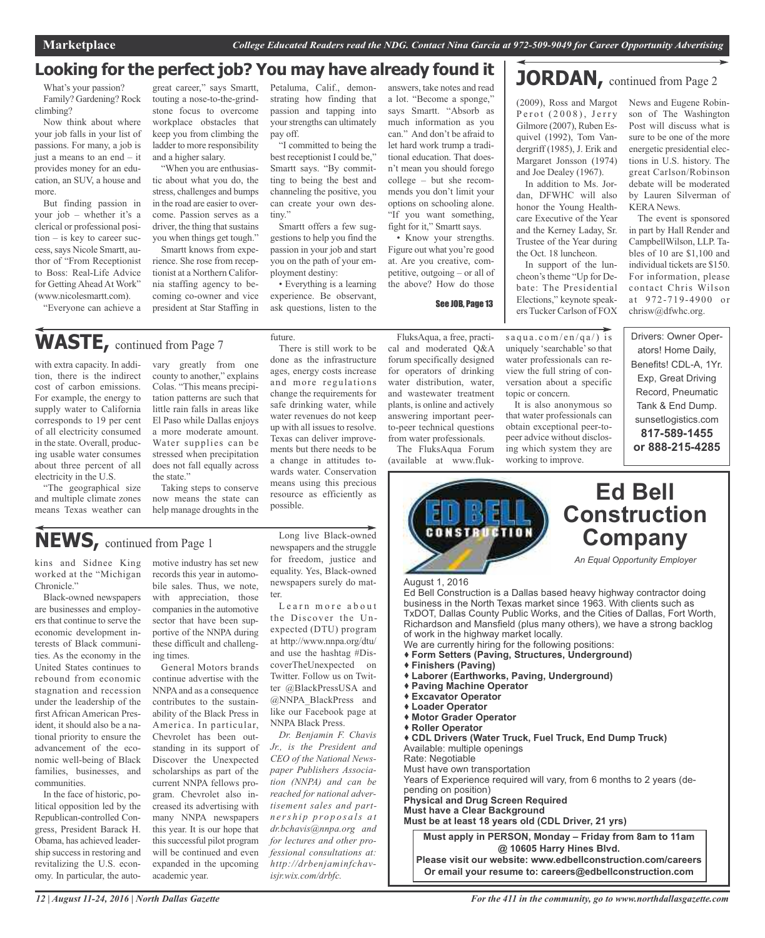### **Looking for the perfect job? You may have already found it**

What's your passion? Family? Gardening? Rock climbing?

Now think about where your job falls in your list of passions. For many, a job is just a means to an end – it provides money for an education, an SUV, a house and more.

But finding passion in your job – whether it's a clerical or professional position – is key to career success,says Nicole Smartt, author of "From Receptionist to Boss: Real-Life Advice for Getting Ahead At Work" (www.nicolesmartt.com).

"Everyone can achieve a

great career," says Smartt, touting a nose-to-the-grindstone focus to overcome workplace obstacles that keep you from climbing the ladder to more responsibility and a higher salary.

"When you are enthusiastic about what you do, the stress, challenges and bumps in the road are easier to overcome. Passion serves as a driver, the thing that sustains you when things get tough."

Smartt knows from experience. She rose from receptionist at a Northern California staffing agency to becoming co-owner and vice president at Star Staffing in

Petaluma, Calif., demonstrating how finding that passion and tapping into your strengths can ultimately pay off.

"I committed to being the best receptionist I could be," Smartt says. "By committing to being the best and channeling the positive, you can create your own destiny."

Smartt offers a few suggestions to help you find the passion in your job and start you on the path of your employment destiny:

• Everything is a learning experience. Be observant, ask questions, listen to the

future.

answers, take notes and read a lot. "Become a sponge," says Smartt. "Absorb as much information as you can." And don't be afraid to let hard work trump a traditional education. That doesn't mean you should forego college – but she recommends you don't limit your options on schooling alone. "If you want something, fight for it," Smartt says.

• Know your strengths. Figure out what you're good at. Are you creative, competitive, outgoing – or all of the above? How do those

See JOB, Page 13

#### (2009), Ross and Margot News and Eugene Robin-P e r o t (2008), J e rry Gilmore (2007), Ruben Esquivel (1992), Tom Vandergriff (1985), J. Erik and Margaret Jonsson (1974)

**JORDAN**, continued from Page 2

and Joe Dealey (1967). In addition to Ms. Jordan, DFWHC will also honor the Young Healthcare Executive of the Year and the Kerney Laday, Sr. Trustee of the Year during the Oct. 18 luncheon.

In support of the luncheon's theme "Up for Debate: The Presidential Elections," keynote speakers Tucker Carlson of FOX

 $s$ a qua.com/en/qa/) is uniquely 'searchable'so that water professionals can review the full string of conversation about a specific

It is also anonymous so that water professionals can obtain exceptional peer-topeer advice without disclosing which system they are working to improve.

topic or concern.

son of The Washington Post will discuss what is sure to be one of the more energetic presidential elections in U.S. history. The great Carlson/Robinson debate will be moderated by Lauren Silverman of KERA News.

The event is sponsored in part by Hall Render and CampbellWilson, LLP. Tables of 10 are \$1,100 and individual tickets are \$150. For information, please contact Chris Wilson at 972-719-4900 or chrisw@dfwhc.org.

Drivers: Owner Operators! Home Daily, Benefits! CDL-A, 1Yr. Exp, Great Driving Record, Pneumatic Tank & End Dump. sunsetlogistics.com **817-589-1455 or 888-215-4285**

WASTE, continued from Page 7

with extra capacity. In addition, there is the indirect cost of carbon emissions. For example, the energy to supply water to California corresponds to 19 per cent of all electricity consumed in the state. Overall, producing usable water consumes about three percent of all electricity in the U.S.

"The geographical size and multiple climate zones means Texas weather can vary greatly from one county to another," explains Colas. "This means precipitation patterns are such that little rain falls in areas like El Paso while Dallas enjoys a more moderate amount. Water supplies can be stressed when precipitation does not fall equally across the state."

Taking steps to conserve now means the state can help manage droughts in the

There is still work to be done as the infrastructure ages, energy costs increase and more regulations change the requirements for safe drinking water, while water revenues do not keep up with all issues to resolve. Texas can deliver improvements but there needs to be a change in attitudes towards water. Conservation means using this precious resource as efficiently as possible.

**NEWS,** continued from Page <sup>1</sup>

kins and Sidnee King worked at the "Michigan Chronicle."

Black-owned newspapers are businesses and employers that continue to serve the economic development interests of Black communities. As the economy in the United States continues to rebound from economic stagnation and recession under the leadership of the first African American President, it should also be a national priority to ensure the advancement of the economic well-being of Black families, businesses, and communities.

In the face of historic, political opposition led by the Republican-controlled Congress, President Barack H. Obama, has achieved leadership success in restoring and revitalizing the U.S. economy. In particular, the automotive industry has set new records this year in automobile sales. Thus, we note, with appreciation, those companies in the automotive sector that have been supportive of the NNPA during these difficult and challenging times.

General Motors brands continue advertise with the NNPAand as a consequence contributes to the sustainability of the Black Press in America. In particular, Chevrolet has been outstanding in its support of Discover the Unexpected scholarships as part of the current NNPA fellows program. Chevrolet also increased its advertising with many NNPA newspapers this year. It is our hope that this successful pilot program will be continued and even expanded in the upcoming academic year.

Long live Black-owned newspapers and the struggle for freedom, justice and equality. Yes, Black-owned newspapers surely do matter.

Learn more about the Discover the Unexpected (DTU) program at http://www.nnpa.org/dtu/ and use the hashtag #DiscoverTheUnexpected on Twitter. Follow us on Twitter @BlackPressUSA and @NNPA\_BlackPress and like our Facebook page at NNPA Black Press.

*Dr. Benjamin F. Chavis Jr., is the President and CEO of the National Newspaper Publishers Association (NNPA) and can be reached for national advertisement sales and partn e rs h i p p ro p o s a ls a t dr.bchavis@nnpa.org and for lectures and other professional consultations at: http://drbenjaminfchavisjr.wix.com/drbfc.*

FluksAqua, a free, practical and moderated Q&A forum specifically designed for operators of drinking water distribution, water, and wastewater treatment plants, is online and actively answering important peerto-peer technical questions from water professionals.

The FluksAqua Forum (available at www.fluk-



TxDOT, Dallas County Public Works, and the Cities of Dallas, Fort Worth, Richardson and Mansfield (plus many others), we have a strong backlog of work in the highway market locally. We are currently hiring for the following positions: **Form Setters (Paving, Structures, Underground)**

- **Finishers (Paving)**
- **Laborer (Earthworks, Paving, Underground)**
- **Paving Machine Operator**
- **Excavator Operator**
- **Loader Operator**
- **Motor Grader Operator**
- **Roller Operator**

 **CDL Drivers (Water Truck, Fuel Truck, End Dump Truck)** Available: multiple openings

Rate: Negotiable

Must have own transportation

Years of Experience required will vary, from 6 months to 2 years (depending on position)

**Physical and Drug Screen Required**

**Must have a Clear Background**

**Must be at least 18 years old (CDL Driver, 21 yrs)**

**Must apply in PERSON, Monday – Friday from 8am to 11am @ 10605 Harry Hines Blvd. Please visit our website: www.edbellconstruction.com/careers Or email your resume to: careers@edbellconstruction.com**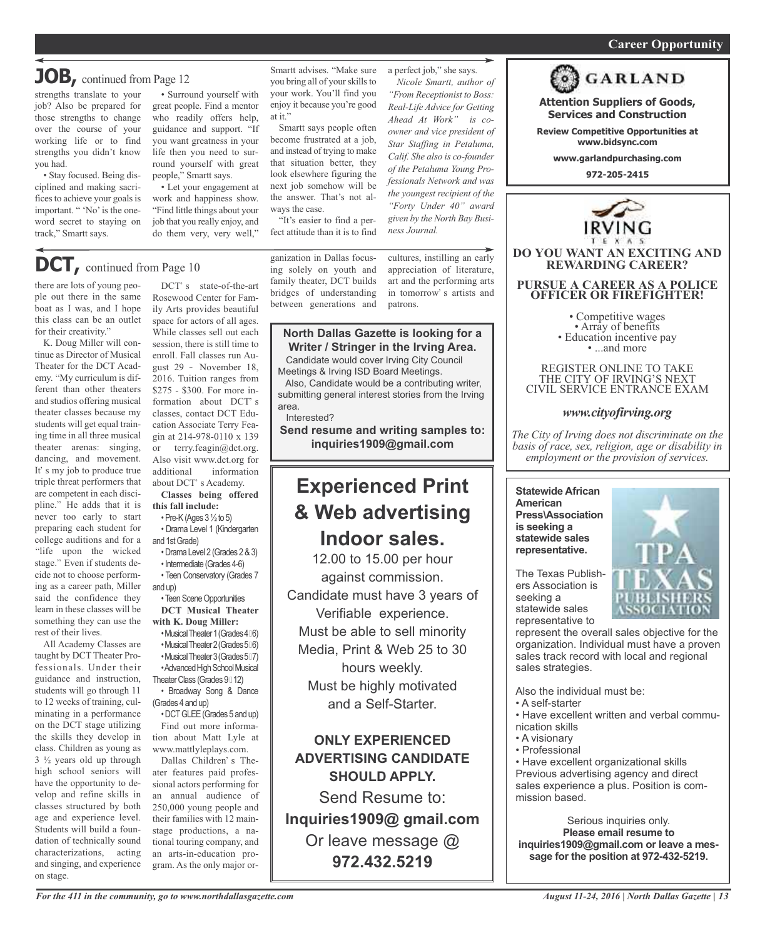#### *On a quest for qualified candidates? Contact Nina Garcia at 972-509-9049* **Career Opportunity**

### **JOB,** continued from Page <sup>12</sup>

strengths translate to your job? Also be prepared for those strengths to change over the course of your working life or to find strengths you didn't know you had.

• Stay focused. Being disciplined and making sacrifices to achieve your goals is important. " 'No' is the oneword secret to staying on track," Smartt says.

• Surround yourself with great people. Find a mentor who readily offers help, guidance and support. "If you want greatness in your life then you need to surround yourself with great people," Smartt says.

• Let your engagement at work and happiness show. "Find little things about your job that you really enjoy, and do them very, very well," Smartt advises. "Make sure you bring all of your skills to your work. You'll find you enjoy it because you're good at it."

Smartt says people often become frustrated at a job, and instead of trying to make that situation better, they look elsewhere figuring the next job somehow will be the answer. That's not always the case.

"It's easier to find a perfect attitude than it is to find

a perfect job," she says. *Nicole Smartt, author of "From Receptionist to Boss: Real-Life Advice for Getting Ahead At Work" is coowner and vice president of Star Staffing in Petaluma, Calif. She also is co-founder*  $of the Petaluma Young Pro$ *fessionals Network and was the youngest recipient of the "Forty Under 40" award given by the North Bay Busi-*

cultures, instilling an early appreciation of literature, art and the performing arts in tomorrow's artists and patrons.

### DCT's state-of-the-art **DCT,** continued from Page <sup>10</sup>

there are lots of young people out there in the same boat as I was, and I hope this class can be an outlet for their creativity.

K. Doug Miller will continue as Director of Musical Theater for the DCT Academy. "My curriculum is different than other theaters and studios offering musical theater classes because my students will get equal training time in all three musical theater arenas: singing, dancing, and movement. It's my job to produce true triple threat performers that are competent in each discipline." He adds that it is never too early to start preparing each student for college auditions and for a "life upon the wicked stage." Even if students decide not to choose performing as a career path, Miller said the confidence they learn in these classes will be something they can use the rest of their lives.

All Academy Classes are taught by DCT Theater Professionals. Under their guidance and instruction, students will go through 11 to 12 weeks of training, culminating in a performance on the DCT stage utilizing the skills they develop in class. Children as young as 3 ½ years old up through high school seniors will have the opportunity to develop and refine skills in classes structured by both age and experience level. Students will build a foundation of technically sound characterizations, acting and singing, and experience on stage.

Rosewood Center for Family Arts provides beautiful space for actors of all ages. While classes sell out each session, there is still time to enroll. Fall classes run August 29 November 18, 2016. Tuition ranges from \$275 - \$300. For more information about DCT's classes, contact DCT Education Associate Terry Feagin at 214-978-0110 x 139 or terry.feagin@dct.org. Also visit www.dct.org for additional information about DCT's Academy.

**Classes being offered this fall include:**

•Pre-K(Ages 3½to 5)

- Drama Level 1 (Kindergarten and 1stGrade)
- •Drama Level 2 (Grades 2&3)
- •Intermediate (Grades 4-6) • Teen Conservatory (Grades 7

and up) • Teen Scene Opportunities **DCT Musical Theater with K. Doug Miller:**

•Musical Theater 1 (Grades 4 6) •MusicalTheater2(Grades5 6) •MusicalTheater3(Grades5 7)

• Advanced High School Musical Theater Class (Grades 9 12)

• Broadway Song & Dance (Grades 4 and up)

•DCTGLEE(Grades 5 and up) Find out more information about Matt Lyle at www.mattlyleplays.com.

Dallas Children's Theater features paid professional actors performing for an annual audience of 250,000 young people and their families with 12 mainstage productions, a national touring company, and an arts-in-education program. As the only major orbridges of understanding between generations and

#### **North Dallas Gazette is looking for a Writer / Stringer in the Irving Area.**

Candidate would cover Irving City Council Meetings & Irving ISD Board Meetings.

Also, Candidate would be a contributing writer, submitting general interest stories from the Irving area.

Interested?

**Send resume and writing samples to: inquiries1909@gmail.com**

### **Experienced Print & Web advertising Indoor sales.**

12.00 to 15.00 per hour against commission. Candidate must have 3 years of Verifiable experience. Must be able to sell minority Media, Print & Web 25 to 30 hours weekly. Must be highly motivated and a Self-Starter.

**ONLY EXPERIENCED ADVERTISING CANDIDATE SHOULD APPLY.**

Send Resume to: **Inquiries1909@ gmail.com** Or leave message @ **972.432.5219**



**GARLAND** 

**Attention Suppliers of Goods, Services and Construction**

**Review Competitive Opportunities at www.bidsync.com**

**www.garlandpurchasing.com**

**972-205-2415**



**DO YOU WANT AN EXCITING AND REWARDING CAREER?**

**PURSUE A CAREER AS A POLICE OFFICER OR FIREFIGHTER!**

• Competitive wages<br>• Array of benefits<br>• Education incentive pay<br>• ...and more

REGISTER ONLINE TO TAKE THE CITY OF IRVING'S NEXT CIVIL SERVICE ENTRANCE EXAM

*www.cityofirving.org*

*The City of irving does not discriminate on the basis of race, sex, religion, age or disability in employment or the provision of services.*

**Statewide African American Press\Association is seeking a statewide sales representative.**



The Texas Publishers Association is seeking a statewide sales representative to

represent the overall sales objective for the organization. Individual must have a proven sales track record with local and regional sales strategies.

Also the individual must be:

- A self-starter
- Have excellent written and verbal communication skills
- A visionary
- Professional

• Have excellent organizational skills Previous advertising agency and direct sales experience a plus. Position is commission based.

Serious inquiries only. **Please email resume to inquiries1909@gmail.com or leave a message for the position at 972-432-5219.**

ganization in Dallas focusing solely on youth and family theater, DCT builds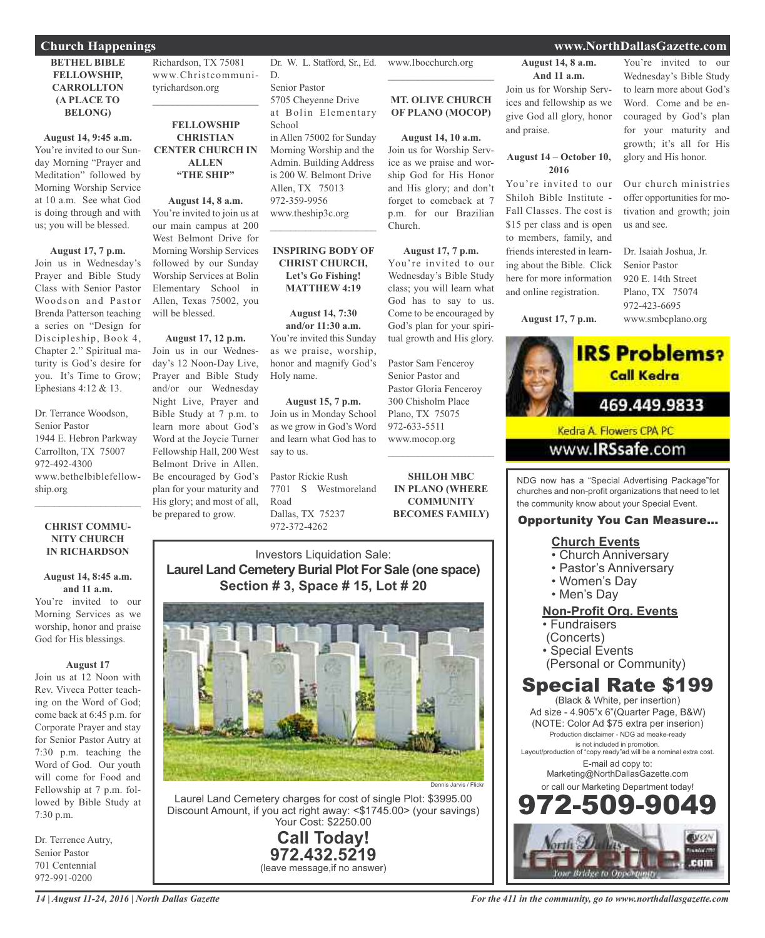#### **BETHEL BIBLE FELLOWSHIP, CARROLLTON (A PLACE TO BELONG)**

**August 14, 9:45 a.m.** You're invited to our Sunday Morning "Prayer and Meditation" followed by Morning Worship Service at 10 a.m. See what God is doing through and with us; you will be blessed.

#### **August 17, 7 p.m.**

Join us in Wednesday's Prayer and Bible Study Class with Senior Pastor Woodson and Pastor Brenda Patterson teaching a series on "Design for Discipleship, Book 4, Chapter 2." Spiritual maturity is God's desire for you. It's Time to Grow; Ephesians 4:12 & 13.

Dr. Terrance Woodson, Senior Pastor 1944 E. Hebron Parkway Carrollton, TX 75007 972-492-4300 www.bethelbiblefellowship.org

#### **CHRIST COMMU-NITY CHURCH IN RICHARDSON**

 $\mathcal{L}_\mathcal{L}$  , where  $\mathcal{L}_\mathcal{L}$  , we have the set of the set of the set of the set of the set of the set of the set of the set of the set of the set of the set of the set of the set of the set of the set of the set

#### **August 14, 8:45 a.m. and 11 a.m.**

You're invited to our Morning Services as we worship, honor and praise God for His blessings.

#### **August 17**

Join us at 12 Noon with Rev. Viveca Potter teaching on the Word of God; come back at 6:45 p.m. for Corporate Prayer and stay for Senior Pastor Autry at 7:30 p.m. teaching the Word of God. Our youth will come for Food and Fellowship at 7 p.m. followed by Bible Study at 7:30 p.m.

Dr. Terrence Autry, Senior Pastor 701 Centennial 972-991-0200

Richardson, TX 75081 www.Christcommunityrichardson.org

 $\mathcal{L}_\text{max}$  , we have the set of the set of the set of the set of the set of the set of the set of the set of the set of the set of the set of the set of the set of the set of the set of the set of the set of the set of

#### **FELLOWSHIP CHRISTIAN CENTER CHURCH IN ALLEN "THE SHIP"**

#### **August 14, 8 a.m.**

You're invited to join us at our main campus at 200 West Belmont Drive for Morning Worship Services followed by our Sunday Worship Services at Bolin Elementary School in Allen, Texas 75002, you will be blessed.

#### **August 17, 12 p.m.** Join us in our Wednes-

day's 12 Noon-Day Live, Prayer and Bible Study and/or our Wednesday Night Live, Prayer and Bible Study at 7 p.m. to learn more about God's Word at the Joycie Turner Fellowship Hall, 200 West Belmont Drive in Allen. Be encouraged by God's plan for your maturity and His glory; and most of all, be prepared to grow.

Dr. W. L. Stafford, Sr., Ed. D.

Senior Pastor 5705 Cheyenne Drive at Bolin Elementary **School** in Allen 75002 for Sunday Morning Worship and the Admin. Building Address is 200 W. Belmont Drive Allen, TX 75013 972-359-9956 www.theship3c.org  $\overline{\mathcal{L}}$ 

#### **INSPIRING BODY OF CHRIST CHURCH, Let's Go Fishing! MATTHEW 4:19**

**August 14, 7:30 and/or 11:30 a.m.** You're invited this Sunday as we praise, worship, honor and magnify God's Holy name.

**August 15, 7 p.m.** Join us in Monday School as we grow in God's Word and learn what God has to say to us.

Pastor Rickie Rush 7701 S Westmoreland Road Dallas, TX 75237 972-372-4262

www.Ibocchurch.org  $\overline{\phantom{a}}$  , which is a set of the set of the set of the set of the set of the set of the set of the set of the set of the set of the set of the set of the set of the set of the set of the set of the set of the set of th

#### **MT. OLIVE CHURCH OF PLANO (MOCOP)**

**August 14, 10 a.m.**

Join us for Worship Service as we praise and worship God for His Honor and His glory; and don't forget to comeback at 7 p.m. for our Brazilian Church.

#### **August 17, 7 p.m.**

You're invited to our Wednesday's Bible Study class; you will learn what God has to say to us. Come to be encouraged by God's plan for your spiritual growth and His glory.

Pastor Sam Fenceroy Senior Pastor and Pastor Gloria Fenceroy 300 Chisholm Place Plano, TX 75075 972-633-5511 www.mocop.org  $\overline{\phantom{a}}$  , which is a set of the set of the set of the set of the set of the set of the set of the set of the set of the set of the set of the set of the set of the set of the set of the set of the set of the set of th

**SHILOH MBC IN PLANO (WHERE COMMUNITY BECOMES FAMILY)**

Investors Liquidation Sale: **Laurel Land Cemetery Burial Plot For Sale (one space) Section # 3, Space # 15, Lot # 20**



Laurel Land Cemetery charges for cost of single Plot: \$3995.00 Discount Amount, if you act right away: <\$1745.00> (your savings) Your Cost: \$2250.00

> **Call Today! 972.432.5219** (leave message,if no answer)

**August 14, 8 a.m. And 11 a.m.**

Join us for Worship Services and fellowship as we give God all glory, honor and praise.

#### **August 14 – October 10, 2016**

You're invited to our Shiloh Bible Institute - Fall Classes. The cost is \$15 per class and is open to members, family, and friends interested in learning about the Bible. Click here for more information and online registration.

**August 17, 7 p.m.**

You're invited to our Wednesday's Bible Study to learn more about God's Word. Come and be encouraged by God's plan for your maturity and growth; it's all for His glory and His honor.

Our church ministries offer opportunities for motivation and growth; join us and see.

Dr. Isaiah Joshua, Jr. Senior Pastor 920 E. 14th Street Plano, TX 75074 972-423-6695 www.smbcplano.org



www.**IRSsafe**.com

NDG now has a "Special Advertising Package"for churches and non-profit organizations that need to let the community know about your Special Event.

### Opportunity You Can Measure...

#### **Church Events**

- Church Anniversary
- Pastor's Anniversary
- Women's Day
- Men's Day

#### **Non-Profit Org. Events**

- Fundraisers
- (Concerts)
- Special Events
- (Personal or Community)

### Special Rate \$199

(Black & White, per insertion) Ad size - 4.905"x 6"(Quarter Page, B&W) (NOTE: Color Ad \$75 extra per inserion) Production disclaimer - NDG ad meake-ready is not included in promotion. Layout/production of "copy ready"ad will be a nominal extra cost. E-mail ad copy to: Marketing@NorthDallasGazette.com or call our Marketing Department today! 972-509-9049



#### **Church Happenings www.NorthDallasGazette.com**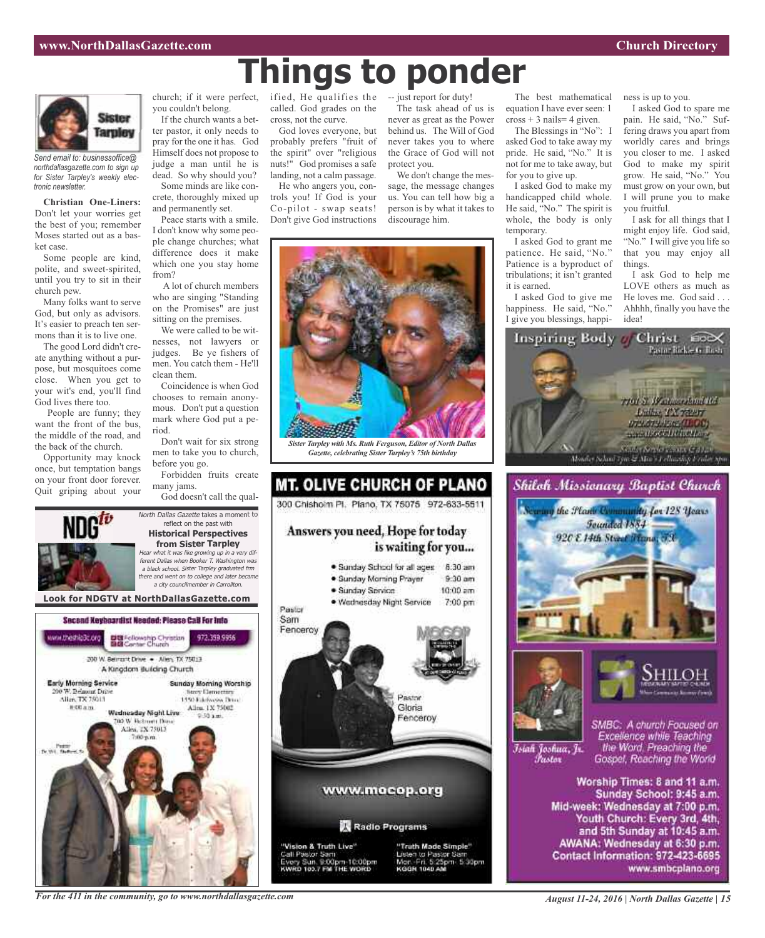

*Send email to: businessoffice@ northdallasgazette.com to sign up for Sister Tarpley's weekly electronic newsletter.*

**Christian One-Liners:** Don't let your worries get the best of you; remember Moses started out as a basket case.

Some people are kind, polite, and sweet-spirited, until you try to sit in their church pew.

Many folks want to serve God, but only as advisors. It's easier to preach ten sermons than it is to live one.

The good Lord didn't create anything without a purpose, but mosquitoes come close. When you get to your wit's end, you'll find God lives there too.

People are funny; they want the front of the bus, the middle of the road, and the back of the church.

Opportunity may knock once, but temptation bangs on your front door forever. Quit griping about your church; if it were perfect, you couldn't belong.

If the church wants a better pastor, it only needs to pray for the one it has. God Himself does not propose to judge a man until he is dead. So why should you? Some minds are like con-

crete, thoroughly mixed up and permanently set. Peace starts with a smile.

I don't know why some people change churches; what difference does it make which one you stay home from?

A lot of church members who are singing "Standing on the Promises" are just sitting on the premises.

We were called to be witnesses, not lawyers or judges. Be ye fishers of men. You catch them - He'll clean them.

Coincidence is when God chooses to remain anonymous. Don't put a question mark where God put a period.

Don't wait for six strong men to take you to church, before you go.

Forbidden fruits create many jams.

God doesn't call the qual-



reflect on the past with **Historical Perspectives from Sister Tarpley** Hear what it was like growing up in <sup>a</sup> very different Dallas when Booker T. Washington was <sup>a</sup> black school. Sister Tarpley graduated frm there and went on to college and later became <sup>a</sup> city councilmember in Carrollton.

North Dallas Gazette takes a moment to





ified, He qualifies the called. God grades on the cross, not the curve.

God loves everyone, but probably prefers "fruit of the spirit" over "religious nuts!" God promises a safe landing, not a calm passage.

He who angers you, controls you! If God is your Co-pilot - swap seats! Don't give God instructions -- just report for duty!

**Things to ponder**

The task ahead of us is never as great as the Power behind us. The Will of God never takes you to where the Grace of God will not protect you.

We don't change the message, the message changes us. You can tell how big a person is by what it takes to discourage him.



*Gazette, celebrating Sister Tarpley's 75th birthday*

**MT. OLIVE CHURCH OF PLANO** 300 Chishoim Pl. Plano, TX 75075 972-633-5511 Answers you need, Hope for today is waiting for you... · Sunday School for all ages 8:30 am · Sunday Morning Prayer  $9.30$  am · Sunday Service  $10:00$  am · Wednesday Night Service 7:00 pm Pastor Sam Fenceroy **BASTOR** Gloria Fenceroy www.mocop.org Radio Programs

"Vision & Truth Live" Call Pastor Sam ry Sun. 9:00pm-10:00pm<br>RD 103.7 FM THE WORD



The best mathematical equation I have ever seen: 1  $\cos s + 3$  nails= 4 given.

The Blessings in "No": I asked God to take away my pride. He said, "No." It is not for me to take away, but for you to give up.

I asked God to make my handicapped child whole. He said, "No." The spirit is whole, the body is only temporary.

I asked God to grant me patience. He said, "No." Patience is a byproduct of tribulations; it isn't granted it is earned.

I asked God to give me happiness. He said, "No." I give you blessings, happiness is up to you.

I asked God to spare me pain. He said, "No." Suffering draws you apart from worldly cares and brings you closer to me. I asked God to make my spirit grow. He said, "No." You must grow on your own, but I will prune you to make you fruitful.

I ask for all things that I might enjoy life. God said, "No." I will give you life so that you may enjoy all things.

I ask God to help me LOVE others as much as He loves me. God said . . . Ahhhh, finally you have the idea!









Īsiah Joshua, Jr. *Tustov* 

SMBC: A church Focused on Excellence while Teaching the Word. Preaching the Gospel, Reaching the World

Worship Times: 8 and 11 a.m. Sunday School: 9:45 a.m. Mid-week: Wednesday at 7:00 p.m. Youth Church: Every 3rd, 4th, and 5th Sunday at 10:45 a.m. AWANA: Wednesday at 6:30 p.m. Contact Information: 972-423-6695 www.smbcplano.org

*For the 411 in the community, go to www.northdallasgazette.com*